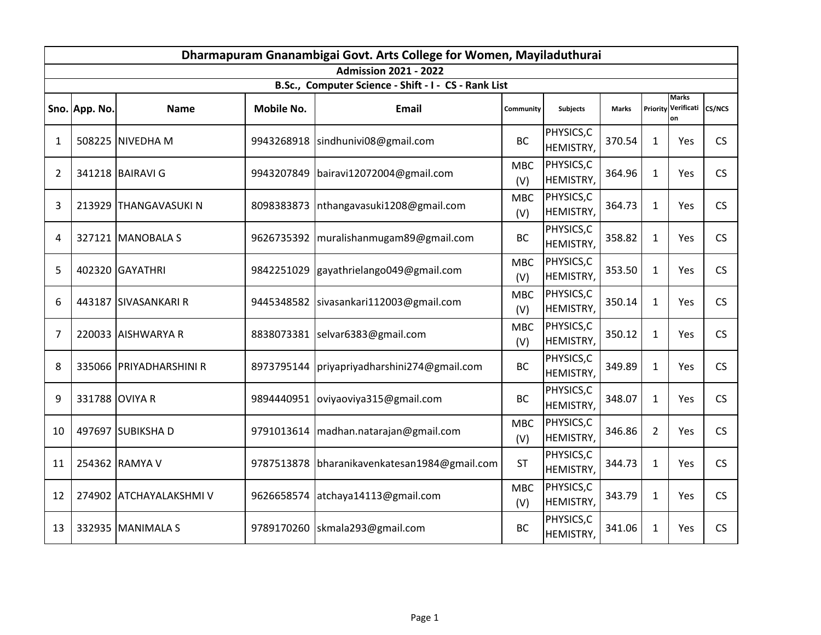|    |                |                         |                   | Dharmapuram Gnanambigai Govt. Arts College for Women, Mayiladuthurai |                   |                         |              |                |                                  |           |
|----|----------------|-------------------------|-------------------|----------------------------------------------------------------------|-------------------|-------------------------|--------------|----------------|----------------------------------|-----------|
|    |                |                         |                   | <b>Admission 2021 - 2022</b>                                         |                   |                         |              |                |                                  |           |
|    |                |                         |                   | B.Sc., Computer Science - Shift - I - CS - Rank List                 |                   |                         |              |                |                                  |           |
|    | Sno. App. No.  | <b>Name</b>             | <b>Mobile No.</b> | <b>Email</b>                                                         | Community         | <b>Subjects</b>         | <b>Marks</b> | Priority       | <b>Marks</b><br>Verificati<br>on | CS/NCS    |
| 1  |                | 508225 NIVEDHA M        | 9943268918        | sindhunivi08@gmail.com                                               | <b>BC</b>         | PHYSICS, C<br>HEMISTRY, | 370.54       | $\mathbf{1}$   | Yes                              | <b>CS</b> |
| 2  |                | 341218 BAIRAVI G        | 9943207849        | bairavi12072004@gmail.com                                            | <b>MBC</b><br>(V) | PHYSICS, C<br>HEMISTRY, | 364.96       | $\mathbf{1}$   | Yes                              | <b>CS</b> |
| 3  |                | 213929 THANGAVASUKI N   | 8098383873        | nthangavasuki1208@gmail.com                                          | <b>MBC</b><br>(V) | PHYSICS,C<br>HEMISTRY,  | 364.73       | $\mathbf{1}$   | Yes                              | <b>CS</b> |
| 4  |                | 327121 MANOBALA S       |                   | 9626735392   muralishanmugam89@gmail.com                             | <b>BC</b>         | PHYSICS, C<br>HEMISTRY, | 358.82       | $\mathbf{1}$   | Yes                              | CS        |
| 5  |                | 402320 GAYATHRI         | 9842251029        | gayathrielango049@gmail.com                                          | <b>MBC</b><br>(V) | PHYSICS, C<br>HEMISTRY, | 353.50       | $\mathbf{1}$   | Yes                              | <b>CS</b> |
| 6  |                | 443187 SIVASANKARI R    | 9445348582        | sivasankari112003@gmail.com                                          | <b>MBC</b><br>(V) | PHYSICS, C<br>HEMISTRY, | 350.14       | $\mathbf{1}$   | Yes                              | <b>CS</b> |
| 7  |                | 220033 AISHWARYA R      | 8838073381        | selvar6383@gmail.com                                                 | <b>MBC</b><br>(V) | PHYSICS, C<br>HEMISTRY, | 350.12       | $\mathbf{1}$   | Yes                              | <b>CS</b> |
| 8  |                | 335066 PRIYADHARSHINI R | 8973795144        | priyapriyadharshini274@gmail.com                                     | <b>BC</b>         | PHYSICS, C<br>HEMISTRY, | 349.89       | $\mathbf{1}$   | Yes                              | <b>CS</b> |
| 9  | 331788 OVIYA R |                         | 9894440951        | oviyaoviya315@gmail.com                                              | <b>BC</b>         | PHYSICS, C<br>HEMISTRY, | 348.07       | $\mathbf{1}$   | Yes                              | <b>CS</b> |
| 10 |                | 497697 SUBIKSHA D       | 9791013614        | madhan.natarajan@gmail.com                                           | <b>MBC</b><br>(V) | PHYSICS, C<br>HEMISTRY, | 346.86       | $\overline{2}$ | Yes                              | <b>CS</b> |
| 11 |                | 254362 RAMYA V          | 9787513878        | bharanikavenkatesan1984@gmail.com                                    | <b>ST</b>         | PHYSICS, C<br>HEMISTRY, | 344.73       | $\mathbf{1}$   | Yes                              | <b>CS</b> |
| 12 |                | 274902 ATCHAYALAKSHMI V | 9626658574        | atchaya14113@gmail.com                                               | <b>MBC</b><br>(V) | PHYSICS, C<br>HEMISTRY, | 343.79       | $\mathbf{1}$   | Yes                              | <b>CS</b> |
| 13 |                | 332935 MANIMALA S       | 9789170260        | skmala293@gmail.com                                                  | <b>BC</b>         | PHYSICS, C<br>HEMISTRY, | 341.06       | $\mathbf{1}$   | Yes                              | <b>CS</b> |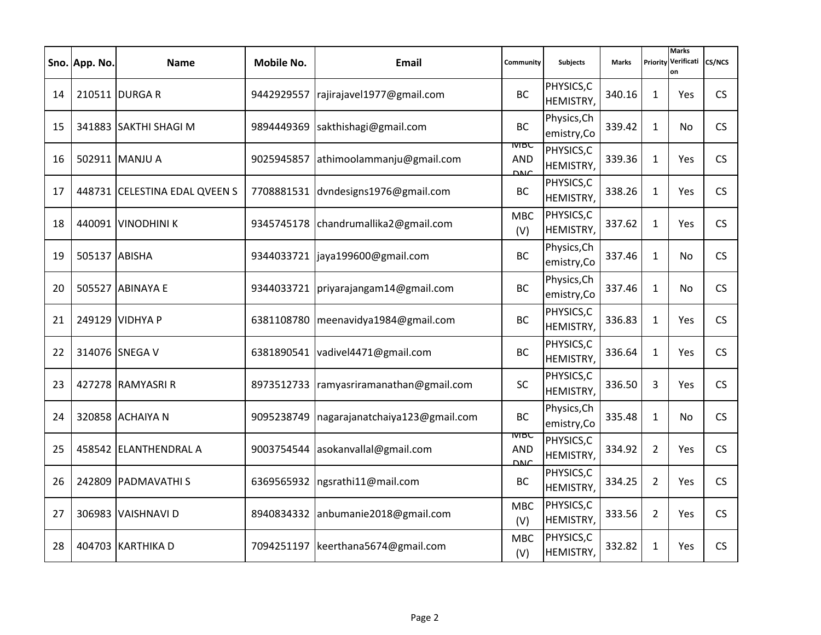|    | Sno. App. No. | <b>Name</b>                   | <b>Mobile No.</b> | Email                                 | Community                                 | <b>Subjects</b>            | <b>Marks</b> | Priority       | <b>Marks</b><br>Verificati<br>on | CS/NCS    |
|----|---------------|-------------------------------|-------------------|---------------------------------------|-------------------------------------------|----------------------------|--------------|----------------|----------------------------------|-----------|
| 14 |               | 210511 DURGA R                |                   | 9442929557 rajirajavel1977@gmail.com  | <b>BC</b>                                 | PHYSICS, C<br>HEMISTRY,    | 340.16       | $\mathbf{1}$   | Yes                              | <b>CS</b> |
| 15 |               | 341883 SAKTHI SHAGI M         | 9894449369        | sakthishagi@gmail.com                 | <b>BC</b>                                 | Physics, Ch<br>emistry, Co | 339.42       | $\mathbf{1}$   | No                               | <b>CS</b> |
| 16 |               | 502911 MANJU A                | 9025945857        | athimoolammanju@gmail.com             | <b>IVIBC</b><br><b>AND</b><br><b>DNC</b>  | PHYSICS,C<br>HEMISTRY,     | 339.36       | $\mathbf{1}$   | Yes                              | <b>CS</b> |
| 17 |               | 448731 CELESTINA EDAL QVEEN S |                   | 7708881531 dvndesigns1976@gmail.com   | BC                                        | PHYSICS, C<br>HEMISTRY,    | 338.26       | $\mathbf{1}$   | Yes                              | <b>CS</b> |
| 18 |               | 440091 VINODHINI K            | 9345745178        | chandrumallika2@gmail.com             | <b>MBC</b><br>(V)                         | PHYSICS, C<br>HEMISTRY,    | 337.62       | $\mathbf{1}$   | Yes                              | <b>CS</b> |
| 19 | 505137 ABISHA |                               |                   | 9344033721   jaya199600@gmail.com     | <b>BC</b>                                 | Physics, Ch<br>emistry, Co | 337.46       | $\mathbf{1}$   | No.                              | CS        |
| 20 |               | 505527 ABINAYA E              | 9344033721        | priyarajangam14@gmail.com             | <b>BC</b>                                 | Physics, Ch<br>emistry, Co | 337.46       | $\mathbf{1}$   | No.                              | <b>CS</b> |
| 21 |               | 249129 VIDHYA P               |                   | 6381108780 meenavidya1984@gmail.com   | <b>BC</b>                                 | PHYSICS, C<br>HEMISTRY,    | 336.83       | $\mathbf{1}$   | Yes                              | CS        |
| 22 |               | 314076 SNEGA V                | 6381890541        | vadivel4471@gmail.com                 | <b>BC</b>                                 | PHYSICS, C<br>HEMISTRY,    | 336.64       | $\mathbf{1}$   | Yes                              | <b>CS</b> |
| 23 |               | 427278 RAMYASRI R             | 8973512733        | ramyasriramanathan@gmail.com          | <b>SC</b>                                 | PHYSICS, C<br>HEMISTRY,    | 336.50       | 3              | Yes                              | <b>CS</b> |
| 24 |               | 320858 ACHAIYA N              | 9095238749        | nagarajanatchaiya123@gmail.com        | <b>BC</b>                                 | Physics, Ch<br>emistry, Co | 335.48       | $\mathbf{1}$   | No                               | <b>CS</b> |
| 25 |               | 458542 ELANTHENDRAL A         | 9003754544        | asokanvallal@gmail.com                | <b>IVIBC</b><br><b>AND</b><br><b>DNIC</b> | PHYSICS,C<br>HEMISTRY,     | 334.92       | $\overline{2}$ | Yes                              | <b>CS</b> |
| 26 |               | 242809 PADMAVATHIS            | 6369565932        | ngsrathi11@mail.com                   | <b>BC</b>                                 | PHYSICS, C<br>HEMISTRY,    | 334.25       | $\overline{2}$ | Yes                              | CS        |
| 27 |               | 306983 VAISHNAVI D            | 8940834332        | anbumanie2018@gmail.com               | <b>MBC</b><br>(V)                         | PHYSICS, C<br>HEMISTRY,    | 333.56       | $\overline{2}$ | Yes                              | <b>CS</b> |
| 28 |               | 404703 KARTHIKA D             |                   | 7094251197   keerthana 5674@gmail.com | <b>MBC</b><br>(V)                         | PHYSICS, C<br>HEMISTRY,    | 332.82       | $\mathbf{1}$   | Yes                              | <b>CS</b> |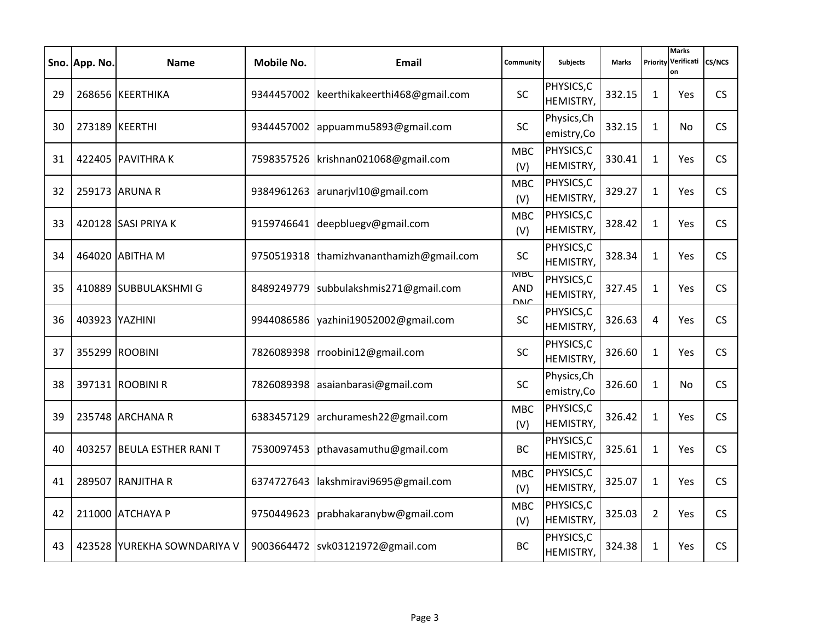|    | Sno. App. No.  | <b>Name</b>                 | Mobile No. | Email                                     | Community                       | <b>Subjects</b>            | <b>Marks</b> | Priority       | <b>Marks</b><br>Verificati<br>on | <b>CS/NCS</b> |
|----|----------------|-----------------------------|------------|-------------------------------------------|---------------------------------|----------------------------|--------------|----------------|----------------------------------|---------------|
| 29 |                | 268656 KEERTHIKA            |            | 9344457002 keerthikakeerthi468@gmail.com  | <b>SC</b>                       | PHYSICS, C<br>HEMISTRY,    | 332.15       | 1              | Yes                              | CS            |
| 30 |                | 273189 KEERTHI              |            | 9344457002 appuammu5893@gmail.com         | <b>SC</b>                       | Physics, Ch<br>emistry, Co | 332.15       | $\mathbf{1}$   | No.                              | <b>CS</b>     |
| 31 |                | 422405 PAVITHRAK            | 7598357526 | krishnan021068@gmail.com                  | <b>MBC</b><br>(V)               | PHYSICS,C<br>HEMISTRY,     | 330.41       | $\mathbf{1}$   | Yes                              | <b>CS</b>     |
| 32 |                | 259173 ARUNA R              |            | 9384961263 arunarjvl10@gmail.com          | <b>MBC</b><br>(V)               | PHYSICS,C<br>HEMISTRY,     | 329.27       | $\mathbf{1}$   | <b>Yes</b>                       | <b>CS</b>     |
| 33 |                | 420128 SASI PRIYA K         |            | 9159746641 deepbluegv@gmail.com           | <b>MBC</b><br>(V)               | PHYSICS, C<br>HEMISTRY,    | 328.42       | $\mathbf{1}$   | <b>Yes</b>                       | <b>CS</b>     |
| 34 |                | 464020 ABITHA M             |            | 9750519318  thamizhvananthamizh@gmail.com | <b>SC</b>                       | PHYSICS, C<br>HEMISTRY,    | 328.34       | $\mathbf{1}$   | Yes                              | CS            |
| 35 |                | 410889 SUBBULAKSHMI G       | 8489249779 | subbulakshmis271@gmail.com                | MBC<br><b>AND</b><br><b>DNC</b> | PHYSICS, C<br>HEMISTRY,    | 327.45       | $\mathbf{1}$   | <b>Yes</b>                       | <b>CS</b>     |
| 36 | 403923 YAZHINI |                             |            | 9944086586 vazhini19052002@gmail.com      | <b>SC</b>                       | PHYSICS, C<br>HEMISTRY,    | 326.63       | 4              | <b>Yes</b>                       | CS            |
| 37 |                | 355299 ROOBINI              | 7826089398 | rroobini12@gmail.com                      | SC                              | PHYSICS, C<br>HEMISTRY,    | 326.60       | 1              | <b>Yes</b>                       | <b>CS</b>     |
| 38 |                | 397131 ROOBINI R            | 7826089398 | asaianbarasi@gmail.com                    | SC                              | Physics, Ch<br>emistry, Co | 326.60       | $\mathbf{1}$   | No.                              | <b>CS</b>     |
| 39 |                | 235748 ARCHANA R            | 6383457129 | archuramesh22@gmail.com                   | <b>MBC</b><br>(V)               | PHYSICS,C<br>HEMISTRY,     | 326.42       | $\mathbf{1}$   | <b>Yes</b>                       | <b>CS</b>     |
| 40 |                | 403257 BEULA ESTHER RANI T  | 7530097453 | pthavasamuthu@gmail.com                   | <b>BC</b>                       | PHYSICS, C<br>HEMISTRY,    | 325.61       | $\mathbf{1}$   | <b>Yes</b>                       | <b>CS</b>     |
| 41 |                | 289507 RANJITHA R           | 6374727643 | lakshmiravi9695@gmail.com                 | <b>MBC</b><br>(V)               | PHYSICS,C<br>HEMISTRY,     | 325.07       | $\mathbf{1}$   | <b>Yes</b>                       | CS            |
| 42 |                | 211000 ATCHAYA P            | 9750449623 | prabhakaranybw@gmail.com                  | <b>MBC</b><br>(V)               | PHYSICS, C<br>HEMISTRY,    | 325.03       | $\overline{2}$ | Yes                              | <b>CS</b>     |
| 43 |                | 423528 YUREKHA SOWNDARIYA V |            | 9003664472 svk03121972@gmail.com          | <b>BC</b>                       | PHYSICS, C<br>HEMISTRY,    | 324.38       | $\mathbf{1}$   | <b>Yes</b>                       | <b>CS</b>     |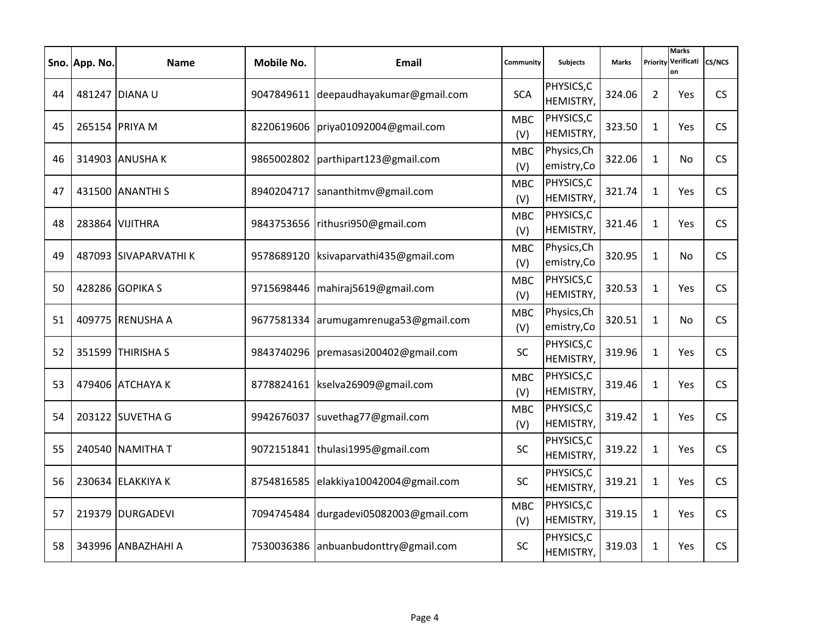|    | Sno. App. No. | <b>Name</b>           | Mobile No. | Email                                   | Community         | <b>Subjects</b>            | <b>Marks</b> | Priority       | <b>Marks</b><br>Verificati<br>on | <b>CS/NCS</b> |
|----|---------------|-----------------------|------------|-----------------------------------------|-------------------|----------------------------|--------------|----------------|----------------------------------|---------------|
| 44 |               | 481247 DIANA U        |            | 9047849611 deepaudhayakumar@gmail.com   | <b>SCA</b>        | PHYSICS, C<br>HEMISTRY,    | 324.06       | $\overline{2}$ | <b>Yes</b>                       | CS            |
| 45 |               | 265154 PRIYA M        | 8220619606 | priya01092004@gmail.com                 | <b>MBC</b><br>(V) | PHYSICS, C<br>HEMISTRY,    | 323.50       | $\mathbf{1}$   | Yes                              | <b>CS</b>     |
| 46 |               | 314903 ANUSHAK        | 9865002802 | parthipart123@gmail.com                 | <b>MBC</b><br>(V) | Physics, Ch<br>emistry, Co | 322.06       | $\mathbf{1}$   | No.                              | <b>CS</b>     |
| 47 |               | 431500 ANANTHI S      | 8940204717 | sananthitmv@gmail.com                   | <b>MBC</b><br>(V) | PHYSICS,C<br>HEMISTRY,     | 321.74       | $\mathbf{1}$   | <b>Yes</b>                       | <b>CS</b>     |
| 48 |               | 283864 VIJITHRA       |            | 9843753656 rithusri950@gmail.com        | <b>MBC</b><br>(V) | PHYSICS, C<br>HEMISTRY,    | 321.46       | $\mathbf{1}$   | <b>Yes</b>                       | <b>CS</b>     |
| 49 |               | 487093 SIVAPARVATHI K |            | 9578689120   ksivaparvathi435@gmail.com | <b>MBC</b><br>(V) | Physics, Ch<br>emistry, Co | 320.95       | $\mathbf{1}$   | No.                              | CS            |
| 50 |               | 428286 GOPIKA S       | 9715698446 | mahiraj5619@gmail.com                   | <b>MBC</b><br>(V) | PHYSICS, C<br>HEMISTRY,    | 320.53       | $\mathbf{1}$   | <b>Yes</b>                       | <b>CS</b>     |
| 51 |               | 409775 RENUSHA A      |            | 9677581334 arumugamrenuga53@gmail.com   | <b>MBC</b><br>(V) | Physics, Ch<br>emistry, Co | 320.51       | $\mathbf{1}$   | No.                              | CS            |
| 52 |               | 351599 THIRISHA S     |            | 9843740296   premasasi 200402@gmail.com | <b>SC</b>         | PHYSICS, C<br>HEMISTRY,    | 319.96       | 1              | <b>Yes</b>                       | <b>CS</b>     |
| 53 |               | 479406 ATCHAYA K      |            | 8778824161   kselva26909@gmail.com      | <b>MBC</b><br>(V) | PHYSICS,C<br>HEMISTRY,     | 319.46       | $\mathbf{1}$   | <b>Yes</b>                       | <b>CS</b>     |
| 54 |               | 203122 SUVETHA G      |            | 9942676037 suvethag77@gmail.com         | <b>MBC</b><br>(V) | PHYSICS, C<br>HEMISTRY,    | 319.42       | $\mathbf{1}$   | <b>Yes</b>                       | <b>CS</b>     |
| 55 |               | 240540 NAMITHA T      |            | 9072151841  thulasi1995@gmail.com       | <b>SC</b>         | PHYSICS, C<br>HEMISTRY,    | 319.22       | $\mathbf{1}$   | <b>Yes</b>                       | <b>CS</b>     |
| 56 |               | 230634 ELAKKIYA K     | 8754816585 | elakkiya10042004@gmail.com              | <b>SC</b>         | PHYSICS, C<br>HEMISTRY,    | 319.21       | $\mathbf{1}$   | <b>Yes</b>                       | CS            |
| 57 |               | 219379 DURGADEVI      | 7094745484 | durgadevi05082003@gmail.com             | <b>MBC</b><br>(V) | PHYSICS, C<br>HEMISTRY,    | 319.15       | $\mathbf{1}$   | Yes                              | <b>CS</b>     |
| 58 |               | 343996 ANBAZHAHI A    |            | 7530036386 anbuanbudonttry@gmail.com    | <b>SC</b>         | PHYSICS, C<br>HEMISTRY,    | 319.03       | $\mathbf{1}$   | <b>Yes</b>                       | <b>CS</b>     |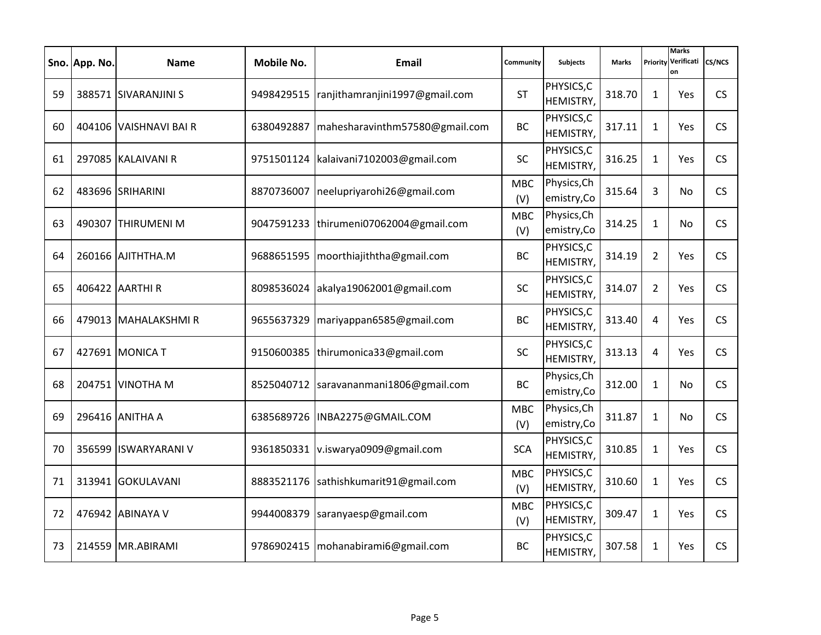|    | Sno. App. No. | <b>Name</b>           | Mobile No. | Email                          | Community         | <b>Subjects</b>               | <b>Marks</b> | Priority       | <b>Marks</b><br>Verificati<br>on | CS/NCS    |
|----|---------------|-----------------------|------------|--------------------------------|-------------------|-------------------------------|--------------|----------------|----------------------------------|-----------|
| 59 |               | 388571 SIVARANJINI S  | 9498429515 | ranjithamranjini1997@gmail.com | <b>ST</b>         | PHYSICS, C<br>HEMISTRY,       | 318.70       | $\mathbf{1}$   | Yes                              | <b>CS</b> |
| 60 |               | 404106 VAISHNAVI BAIR | 6380492887 | mahesharavinthm57580@gmail.com | <b>BC</b>         | PHYSICS, C<br>HEMISTRY,       | 317.11       | $\mathbf{1}$   | Yes                              | <b>CS</b> |
| 61 |               | 297085 KALAIVANI R    | 9751501124 | kalaivani7102003@gmail.com     | <b>SC</b>         | PHYSICS, C<br>HEMISTRY,       | 316.25       | $\mathbf{1}$   | Yes                              | CS        |
| 62 |               | 483696 SRIHARINI      | 8870736007 | neelupriyarohi26@gmail.com     | <b>MBC</b><br>(V) | Physics, Ch<br>emistry, Co    | 315.64       | 3              | No                               | <b>CS</b> |
| 63 |               | 490307 THIRUMENI M    | 9047591233 | thirumeni07062004@gmail.com    | <b>MBC</b><br>(V) | Physics, Ch<br>emistry, Co    | 314.25       | $\mathbf{1}$   | No.                              | CS        |
| 64 |               | 260166 AJITHTHA.M     | 9688651595 | moorthiajiththa@gmail.com      | <b>BC</b>         | PHYSICS, C<br>HEMISTRY,       | 314.19       | $\overline{2}$ | Yes                              | CS        |
| 65 |               | 406422 AARTHI R       | 8098536024 | akalya19062001@gmail.com       | <b>SC</b>         | PHYSICS, C<br>HEMISTRY,       | 314.07       | $\overline{2}$ | Yes                              | <b>CS</b> |
| 66 |               | 479013 MAHALAKSHMIR   | 9655637329 | mariyappan6585@gmail.com       | <b>BC</b>         | PHYSICS, C<br>HEMISTRY,       | 313.40       | 4              | Yes                              | CS        |
| 67 |               | 427691 MONICA T       | 9150600385 | thirumonica33@gmail.com        | SC                | PHYSICS, C<br>HEMISTRY,       | 313.13       | 4              | Yes                              | <b>CS</b> |
| 68 |               | 204751 VINOTHA M      | 8525040712 | saravananmani1806@gmail.com    | <b>BC</b>         | Physics, Ch<br>emistry, Co    | 312.00       | $\mathbf{1}$   | No                               | <b>CS</b> |
| 69 |               | 296416 ANITHA A       | 6385689726 | INBA2275@GMAIL.COM             | <b>MBC</b><br>(V) | Physics, Ch<br>emistry, Co    | 311.87       | $\mathbf{1}$   | No                               | <b>CS</b> |
| 70 |               | 356599 ISWARYARANI V  | 9361850331 | v.iswarya0909@gmail.com        | <b>SCA</b>        | PHYSICS, C<br>HEMISTRY,       | 310.85       | $\mathbf{1}$   | Yes                              | <b>CS</b> |
| 71 |               | 313941 GOKULAVANI     | 8883521176 | sathishkumarit91@gmail.com     | <b>MBC</b><br>(V) | PHYSICS, C<br>HEMISTRY,       | 310.60       | $\mathbf{1}$   | Yes                              | CS        |
| 72 |               | 476942 ABINAYA V      | 9944008379 | saranyaesp@gmail.com           | <b>MBC</b><br>(V) | PHYSICS, C<br>HEMISTRY,       | 309.47       | $\mathbf{1}$   | Yes                              | <b>CS</b> |
| 73 |               | 214559 MR.ABIRAMI     | 9786902415 | mohanabirami6@gmail.com        | <b>BC</b>         | PHYSICS, C<br><b>HEMISTRY</b> | 307.58       | $\mathbf{1}$   | Yes                              | <b>CS</b> |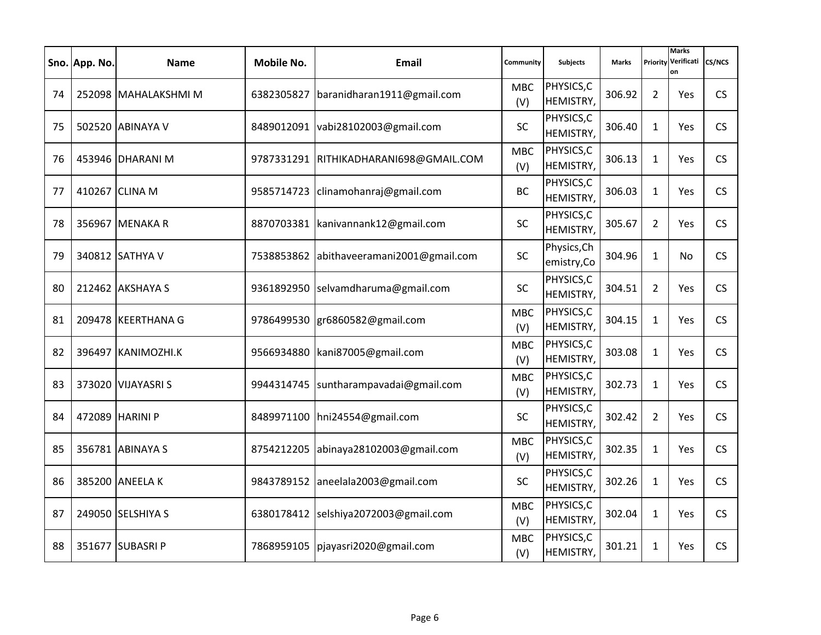|    | Sno. App. No. | <b>Name</b>          | Mobile No. | Email                                    | Community         | <b>Subjects</b>            | <b>Marks</b> | Priority       | <b>Marks</b><br>Verificati<br>on | <b>CS/NCS</b> |
|----|---------------|----------------------|------------|------------------------------------------|-------------------|----------------------------|--------------|----------------|----------------------------------|---------------|
| 74 |               | 252098 MAHALAKSHMI M |            | 6382305827   baranidharan1911@gmail.com  | <b>MBC</b><br>(V) | PHYSICS, C<br>HEMISTRY,    | 306.92       | $\overline{2}$ | <b>Yes</b>                       | CS            |
| 75 |               | 502520 ABINAYA V     |            | 8489012091 vabi28102003@gmail.com        | <b>SC</b>         | PHYSICS, C<br>HEMISTRY,    | 306.40       | $\mathbf{1}$   | <b>Yes</b>                       | <b>CS</b>     |
| 76 |               | 453946 DHARANI M     | 9787331291 | RITHIKADHARANI698@GMAIL.COM              | <b>MBC</b><br>(V) | PHYSICS,C<br>HEMISTRY,     | 306.13       | $\mathbf{1}$   | Yes                              | <b>CS</b>     |
| 77 |               | 410267 CLINA M       |            | 9585714723 clinamohanraj@gmail.com       | <b>BC</b>         | PHYSICS, C<br>HEMISTRY,    | 306.03       | $\mathbf{1}$   | <b>Yes</b>                       | CS            |
| 78 |               | 356967 MENAKA R      |            | 8870703381   kanivannank12@gmail.com     | SC                | PHYSICS, C<br>HEMISTRY,    | 305.67       | $\overline{2}$ | <b>Yes</b>                       | <b>CS</b>     |
| 79 |               | 340812 SATHYA V      |            | 7538853862 abithaveeramani2001@gmail.com | SC                | Physics, Ch<br>emistry, Co | 304.96       | $\mathbf{1}$   | No.                              | CS            |
| 80 |               | 212462 AKSHAYA S     | 9361892950 | selvamdharuma@gmail.com                  | <b>SC</b>         | PHYSICS, C<br>HEMISTRY,    | 304.51       | $\overline{2}$ | <b>Yes</b>                       | <b>CS</b>     |
| 81 |               | 209478 KEERTHANA G   |            | 9786499530 gr6860582@gmail.com           | <b>MBC</b><br>(V) | PHYSICS, C<br>HEMISTRY,    | 304.15       | $\mathbf{1}$   | <b>Yes</b>                       | CS            |
| 82 |               | 396497 KANIMOZHI.K   | 9566934880 | kani87005@gmail.com                      | <b>MBC</b><br>(V) | PHYSICS, C<br>HEMISTRY,    | 303.08       | 1              | <b>Yes</b>                       | <b>CS</b>     |
| 83 |               | 373020 VIJAYASRIS    | 9944314745 | suntharampavadai@gmail.com               | <b>MBC</b><br>(V) | PHYSICS, C<br>HEMISTRY,    | 302.73       | $\mathbf{1}$   | <b>Yes</b>                       | <b>CS</b>     |
| 84 |               | 472089 HARINI P      |            | 8489971100 hni24554@gmail.com            | <b>SC</b>         | PHYSICS, C<br>HEMISTRY,    | 302.42       | $\overline{2}$ | <b>Yes</b>                       | <b>CS</b>     |
| 85 |               | 356781 ABINAYA S     | 8754212205 | abinaya28102003@gmail.com                | <b>MBC</b><br>(V) | PHYSICS,C<br>HEMISTRY,     | 302.35       | $\mathbf{1}$   | <b>Yes</b>                       | CS            |
| 86 |               | 385200 ANEELA K      |            | 9843789152 aneelala2003@gmail.com        | <b>SC</b>         | PHYSICS, C<br>HEMISTRY,    | 302.26       | $\mathbf{1}$   | <b>Yes</b>                       | CS            |
| 87 |               | 249050 SELSHIYA S    | 6380178412 | selshiya2072003@gmail.com                | <b>MBC</b><br>(V) | PHYSICS, C<br>HEMISTRY,    | 302.04       | $\mathbf{1}$   | Yes                              | <b>CS</b>     |
| 88 |               | 351677 SUBASRI P     |            | 7868959105 pjayasri2020@gmail.com        | <b>MBC</b><br>(V) | PHYSICS, C<br>HEMISTRY,    | 301.21       | $\mathbf{1}$   | <b>Yes</b>                       | <b>CS</b>     |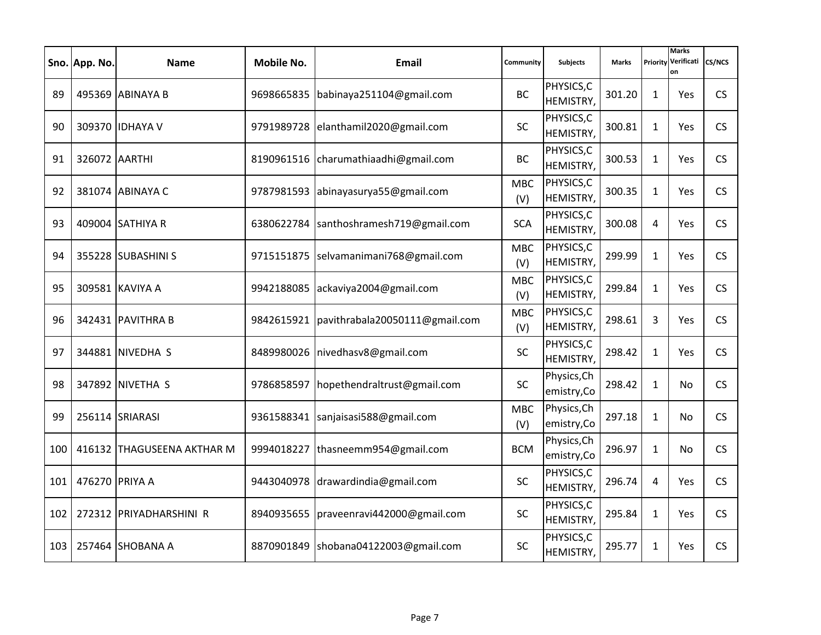|     | Sno. App. No.  | <b>Name</b>                | Mobile No. | Email                                       | Community         | <b>Subjects</b>            | <b>Marks</b> | Priority     | <b>Marks</b><br>Verificati<br>on | <b>CS/NCS</b> |
|-----|----------------|----------------------------|------------|---------------------------------------------|-------------------|----------------------------|--------------|--------------|----------------------------------|---------------|
| 89  |                | 495369 ABINAYA B           |            | 9698665835 babinaya251104@gmail.com         | <b>BC</b>         | PHYSICS, C<br>HEMISTRY,    | 301.20       | 1            | Yes                              | CS            |
| 90  |                | 309370 IDHAYA V            |            | 9791989728 elanthamil2020@gmail.com         | <b>SC</b>         | PHYSICS,C<br>HEMISTRY,     | 300.81       | $\mathbf{1}$ | Yes                              | <b>CS</b>     |
| 91  | 326072 AARTHI  |                            | 8190961516 | charumathiaadhi@gmail.com                   | <b>BC</b>         | PHYSICS, C<br>HEMISTRY,    | 300.53       | $\mathbf{1}$ | Yes                              | <b>CS</b>     |
| 92  |                | 381074 ABINAYA C           |            | 9787981593 abinayasurya55@gmail.com         | <b>MBC</b><br>(V) | PHYSICS,C<br>HEMISTRY,     | 300.35       | $\mathbf{1}$ | <b>Yes</b>                       | <b>CS</b>     |
| 93  |                | 409004 SATHIYA R           | 6380622784 | santhoshramesh719@gmail.com                 | <b>SCA</b>        | PHYSICS, C<br>HEMISTRY,    | 300.08       | 4            | <b>Yes</b>                       | <b>CS</b>     |
| 94  |                | 355228 SUBASHINI S         |            | 9715151875 selvamanimani768@gmail.com       | <b>MBC</b><br>(V) | PHYSICS,C<br>HEMISTRY,     | 299.99       | $\mathbf{1}$ | Yes                              | CS            |
| 95  |                | 309581 KAVIYA A            | 9942188085 | ackaviya2004@gmail.com                      | <b>MBC</b><br>(V) | PHYSICS, C<br>HEMISTRY,    | 299.84       | $\mathbf{1}$ | <b>Yes</b>                       | <b>CS</b>     |
| 96  |                | 342431 PAVITHRA B          |            | 9842615921   pavithrabala20050111@gmail.com | <b>MBC</b><br>(V) | PHYSICS, C<br>HEMISTRY,    | 298.61       | 3            | <b>Yes</b>                       | CS            |
| 97  |                | 344881 NIVEDHA S           | 8489980026 | nivedhasv8@gmail.com                        | <b>SC</b>         | PHYSICS, C<br>HEMISTRY,    | 298.42       | 1            | <b>Yes</b>                       | <b>CS</b>     |
| 98  |                | 347892 NIVETHA S           | 9786858597 | hopethendraltrust@gmail.com                 | <b>SC</b>         | Physics, Ch<br>emistry, Co | 298.42       | $\mathbf{1}$ | No.                              | <b>CS</b>     |
| 99  |                | 256114 SRIARASI            | 9361588341 | sanjaisasi588@gmail.com                     | <b>MBC</b><br>(V) | Physics, Ch<br>emistry, Co | 297.18       | $\mathbf{1}$ | No.                              | <b>CS</b>     |
| 100 |                | 416132 THAGUSEENA AKTHAR M | 9994018227 | thasneemm954@gmail.com                      | <b>BCM</b>        | Physics, Ch<br>emistry, Co | 296.97       | $\mathbf{1}$ | No.                              | <b>CS</b>     |
| 101 | 476270 PRIYA A |                            | 9443040978 | drawardindia@gmail.com                      | <b>SC</b>         | PHYSICS, C<br>HEMISTRY,    | 296.74       | 4            | <b>Yes</b>                       | CS            |
| 102 |                | 272312 PRIYADHARSHINI R    | 8940935655 | praveenravi442000@gmail.com                 | <b>SC</b>         | PHYSICS, C<br>HEMISTRY,    | 295.84       | $\mathbf{1}$ | Yes                              | <b>CS</b>     |
| 103 |                | 257464 SHOBANA A           |            | 8870901849   shobana04122003@gmail.com      | <b>SC</b>         | PHYSICS, C<br>HEMISTRY,    | 295.77       | $\mathbf{1}$ | <b>Yes</b>                       | <b>CS</b>     |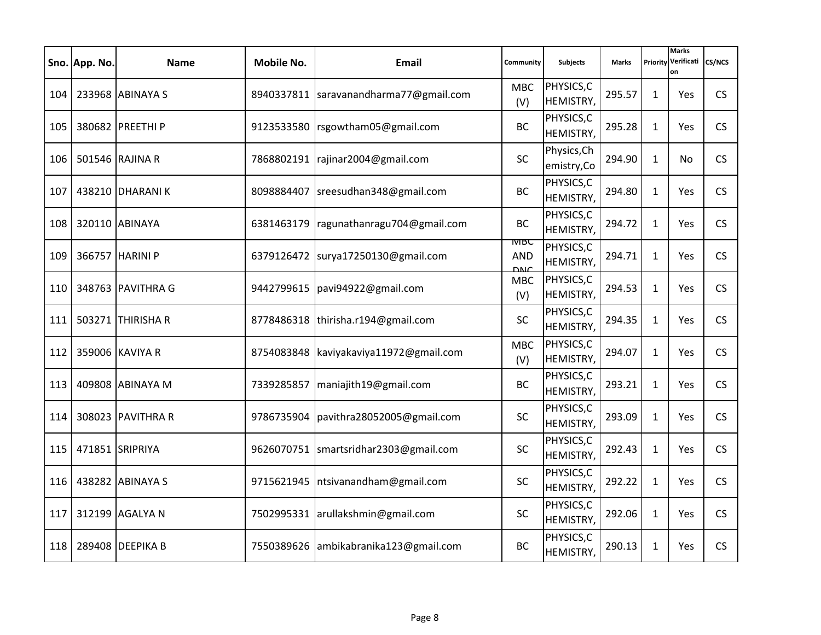|     | Sno. App. No. | <b>Name</b>       | Mobile No. | Email                               | Community                                | <b>Subjects</b>            | <b>Marks</b> | Priority     | <b>Marks</b><br>Verificati<br>on | <b>CS/NCS</b> |
|-----|---------------|-------------------|------------|-------------------------------------|------------------------------------------|----------------------------|--------------|--------------|----------------------------------|---------------|
| 104 |               | 233968 ABINAYA S  | 8940337811 | saravanandharma77@gmail.com         | <b>MBC</b><br>(V)                        | PHYSICS, C<br>HEMISTRY,    | 295.57       | 1            | Yes                              | CS            |
| 105 |               | 380682 PREETHI P  | 9123533580 | rsgowtham05@gmail.com               | <b>BC</b>                                | PHYSICS, C<br>HEMISTRY,    | 295.28       | $\mathbf{1}$ | Yes                              | <b>CS</b>     |
| 106 |               | 501546 RAJINA R   | 7868802191 | rajinar2004@gmail.com               | <b>SC</b>                                | Physics, Ch<br>emistry, Co | 294.90       | $\mathbf{1}$ | No.                              | <b>CS</b>     |
| 107 |               | 438210 DHARANI K  | 8098884407 | sreesudhan348@gmail.com             | <b>BC</b>                                | PHYSICS,C<br>HEMISTRY,     | 294.80       | $\mathbf{1}$ | <b>Yes</b>                       | CS            |
| 108 |               | 320110 ABINAYA    | 6381463179 | ragunathanragu704@gmail.com         | <b>BC</b>                                | PHYSICS, C<br>HEMISTRY,    | 294.72       | $\mathbf{1}$ | <b>Yes</b>                       | <b>CS</b>     |
| 109 |               | 366757 HARINI P   | 6379126472 | surya17250130@gmail.com             | <b>IVIBC</b><br><b>AND</b><br><b>DNC</b> | PHYSICS,C<br>HEMISTRY,     | 294.71       | $\mathbf{1}$ | Yes                              | CS            |
| 110 |               | 348763 PAVITHRA G | 9442799615 | pavi94922@gmail.com                 | <b>MBC</b><br>(V)                        | PHYSICS, C<br>HEMISTRY,    | 294.53       | $\mathbf{1}$ | <b>Yes</b>                       | <b>CS</b>     |
| 111 |               | 503271 THIRISHA R |            | 8778486318  thirisha.r194@gmail.com | <b>SC</b>                                | PHYSICS, C<br>HEMISTRY,    | 294.35       | $\mathbf{1}$ | <b>Yes</b>                       | CS            |
| 112 |               | 359006 KAVIYA R   | 8754083848 | kaviyakaviya11972@gmail.com         | <b>MBC</b><br>(V)                        | PHYSICS, C<br>HEMISTRY,    | 294.07       | 1            | Yes                              | <b>CS</b>     |
| 113 |               | 409808 ABINAYA M  | 7339285857 | maniajith19@gmail.com               | <b>BC</b>                                | PHYSICS, C<br>HEMISTRY,    | 293.21       | 1            | Yes                              | <b>CS</b>     |
| 114 |               | 308023 PAVITHRA R | 9786735904 | pavithra28052005@gmail.com          | <b>SC</b>                                | PHYSICS, C<br>HEMISTRY,    | 293.09       | $\mathbf{1}$ | Yes                              | CS            |
| 115 |               | 471851 SRIPRIYA   | 9626070751 | smartsridhar2303@gmail.com          | SC                                       | PHYSICS, C<br>HEMISTRY,    | 292.43       | $\mathbf{1}$ | Yes                              | <b>CS</b>     |
| 116 |               | 438282 ABINAYA S  | 9715621945 | ntsivanandham@gmail.com             | <b>SC</b>                                | PHYSICS, C<br>HEMISTRY,    | 292.22       | $\mathbf{1}$ | <b>Yes</b>                       | CS            |
| 117 |               | 312199 AGALYA N   | 7502995331 | arullakshmin@gmail.com              | <b>SC</b>                                | PHYSICS, C<br>HEMISTRY,    | 292.06       | $\mathbf{1}$ | Yes                              | <b>CS</b>     |
| 118 |               | 289408 DEEPIKA B  | 7550389626 | ambikabranika123@gmail.com          | <b>BC</b>                                | PHYSICS, C<br>HEMISTRY,    | 290.13       | $\mathbf{1}$ | <b>Yes</b>                       | <b>CS</b>     |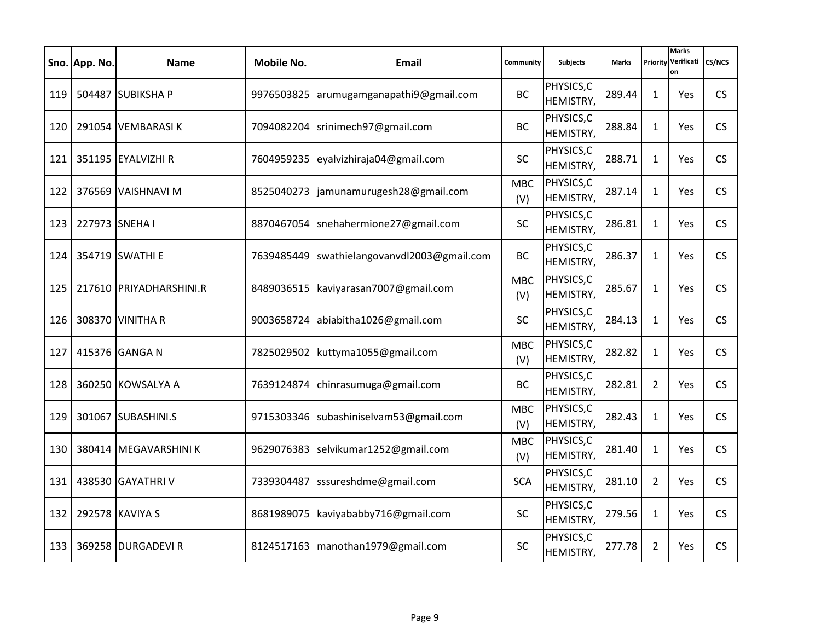|     | Sno. App. No.  | <b>Name</b>             | Mobile No. | Email                                   | Community         | <b>Subjects</b>         | <b>Marks</b> | Priority       | <b>Marks</b><br>Verificati<br>on | <b>CS/NCS</b> |
|-----|----------------|-------------------------|------------|-----------------------------------------|-------------------|-------------------------|--------------|----------------|----------------------------------|---------------|
| 119 |                | 504487 SUBIKSHA P       |            | 9976503825 arumugamganapathi9@gmail.com | <b>BC</b>         | PHYSICS, C<br>HEMISTRY, | 289.44       | 1              | Yes                              | CS            |
| 120 |                | 291054 VEMBARASIK       | 7094082204 | srinimech97@gmail.com                   | <b>BC</b>         | PHYSICS, C<br>HEMISTRY, | 288.84       | 1              | Yes                              | <b>CS</b>     |
| 121 |                | 351195 EYALVIZHI R      | 7604959235 | eyalvizhiraja04@gmail.com               | <b>SC</b>         | PHYSICS, C<br>HEMISTRY, | 288.71       | $\mathbf{1}$   | Yes                              | <b>CS</b>     |
| 122 |                | 376569 VAISHNAVI M      | 8525040273 | jamunamurugesh28@gmail.com              | <b>MBC</b><br>(V) | PHYSICS,C<br>HEMISTRY,  | 287.14       | $\mathbf{1}$   | <b>Yes</b>                       | CS            |
| 123 | 227973 SNEHA I |                         | 8870467054 | snehahermione27@gmail.com               | <b>SC</b>         | PHYSICS, C<br>HEMISTRY, | 286.81       | $\mathbf{1}$   | Yes                              | <b>CS</b>     |
| 124 |                | 354719 SWATHI E         | 7639485449 | swathielangovanvdl2003@gmail.com        | <b>BC</b>         | PHYSICS, C<br>HEMISTRY, | 286.37       | $\mathbf{1}$   | Yes                              | CS            |
| 125 |                | 217610 PRIYADHARSHINI.R | 8489036515 | kaviyarasan7007@gmail.com               | <b>MBC</b><br>(V) | PHYSICS, C<br>HEMISTRY, | 285.67       | $\mathbf{1}$   | Yes                              | <b>CS</b>     |
| 126 |                | 308370 VINITHA R        |            | 9003658724 abiabitha1026@gmail.com      | <b>SC</b>         | PHYSICS, C<br>HEMISTRY, | 284.13       | $\mathbf{1}$   | <b>Yes</b>                       | CS            |
| 127 |                | 415376 GANGA N          | 7825029502 | kuttyma1055@gmail.com                   | <b>MBC</b><br>(V) | PHYSICS, C<br>HEMISTRY, | 282.82       | 1              | Yes                              | <b>CS</b>     |
| 128 |                | 360250 KOWSALYA A       | 7639124874 | chinrasumuga@gmail.com                  | <b>BC</b>         | PHYSICS, C<br>HEMISTRY, | 282.81       | $\overline{2}$ | Yes                              | <b>CS</b>     |
| 129 |                | 301067 SUBASHINI.S      | 9715303346 | subashiniselvam53@gmail.com             | <b>MBC</b><br>(V) | PHYSICS, C<br>HEMISTRY, | 282.43       | $\mathbf{1}$   | Yes                              | CS            |
| 130 |                | 380414 MEGAVARSHINI K   | 9629076383 | selvikumar1252@gmail.com                | <b>MBC</b><br>(V) | PHYSICS, C<br>HEMISTRY, | 281.40       | $\mathbf{1}$   | Yes                              | <b>CS</b>     |
| 131 |                | 438530 GAYATHRIV        | 7339304487 | sssureshdme@gmail.com                   | <b>SCA</b>        | PHYSICS, C<br>HEMISTRY, | 281.10       | $\overline{2}$ | <b>Yes</b>                       | CS            |
| 132 |                | 292578 KAVIYA S         | 8681989075 | kaviyababby716@gmail.com                | <b>SC</b>         | PHYSICS, C<br>HEMISTRY, | 279.56       | $\mathbf{1}$   | Yes                              | <b>CS</b>     |
| 133 |                | 369258 DURGADEVI R      | 8124517163 | manothan1979@gmail.com                  | <b>SC</b>         | PHYSICS, C<br>HEMISTRY, | 277.78       | $\overline{2}$ | <b>Yes</b>                       | <b>CS</b>     |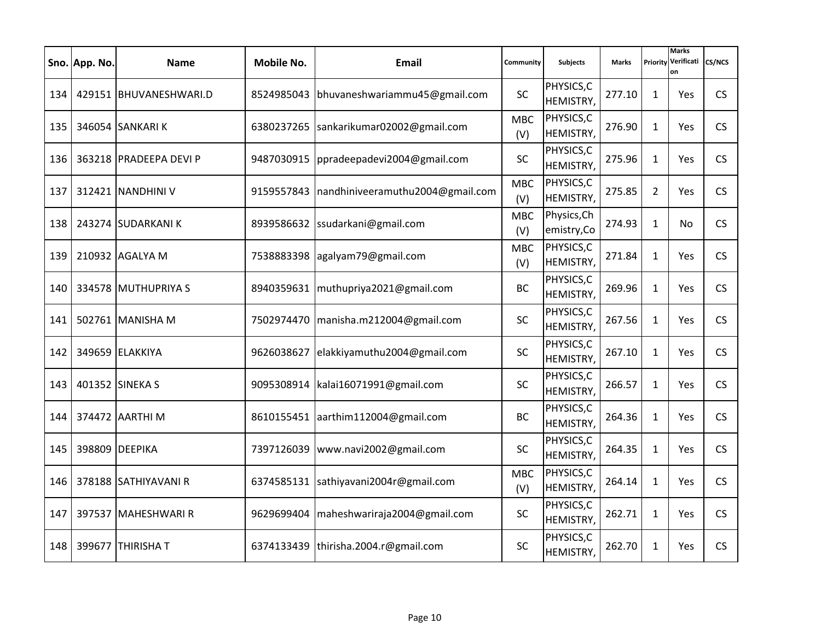|     | Sno. App. No. | <b>Name</b>            | Mobile No. | Email                            | Community         | <b>Subjects</b>            | <b>Marks</b> | Priority       | <b>Marks</b><br>Verificati<br>on | <b>CS/NCS</b> |
|-----|---------------|------------------------|------------|----------------------------------|-------------------|----------------------------|--------------|----------------|----------------------------------|---------------|
| 134 |               | 429151 BHUVANESHWARI.D | 8524985043 | bhuvaneshwariammu45@gmail.com    | <b>SC</b>         | PHYSICS, C<br>HEMISTRY,    | 277.10       | 1              | Yes                              | CS            |
| 135 |               | 346054 SANKARI K       | 6380237265 | sankarikumar02002@gmail.com      | <b>MBC</b><br>(V) | PHYSICS, C<br>HEMISTRY,    | 276.90       | 1              | Yes                              | <b>CS</b>     |
| 136 |               | 363218 PRADEEPA DEVI P | 9487030915 | ppradeepadevi2004@gmail.com      | <b>SC</b>         | PHYSICS, C<br>HEMISTRY,    | 275.96       | $\mathbf{1}$   | Yes                              | <b>CS</b>     |
| 137 |               | 312421 NANDHINI V      | 9159557843 | nandhiniveeramuthu2004@gmail.com | <b>MBC</b><br>(V) | PHYSICS,C<br>HEMISTRY,     | 275.85       | $\overline{2}$ | <b>Yes</b>                       | CS            |
| 138 |               | 243274 SUDARKANI K     | 8939586632 | ssudarkani@gmail.com             | <b>MBC</b><br>(V) | Physics, Ch<br>emistry, Co | 274.93       | $\mathbf{1}$   | No.                              | <b>CS</b>     |
| 139 |               | 210932 AGALYA M        | 7538883398 | agalyam79@gmail.com              | <b>MBC</b><br>(V) | PHYSICS, C<br>HEMISTRY,    | 271.84       | $\mathbf{1}$   | Yes                              | CS            |
| 140 |               | 334578 MUTHUPRIYA S    | 8940359631 | muthupriya2021@gmail.com         | <b>BC</b>         | PHYSICS, C<br>HEMISTRY,    | 269.96       | $\mathbf{1}$   | Yes                              | <b>CS</b>     |
| 141 |               | 502761 MANISHA M       | 7502974470 | manisha.m212004@gmail.com        | <b>SC</b>         | PHYSICS, C<br>HEMISTRY,    | 267.56       | $\mathbf{1}$   | <b>Yes</b>                       | CS            |
| 142 |               | 349659 ELAKKIYA        | 9626038627 | elakkiyamuthu2004@gmail.com      | <b>SC</b>         | PHYSICS, C<br>HEMISTRY,    | 267.10       | 1              | Yes                              | <b>CS</b>     |
| 143 |               | 401352 SINEKA S        | 9095308914 | kalai16071991@gmail.com          | SC                | PHYSICS, C<br>HEMISTRY,    | 266.57       | 1              | Yes                              | <b>CS</b>     |
| 144 |               | 374472 AARTHI M        | 8610155451 | aarthim112004@gmail.com          | <b>BC</b>         | PHYSICS, C<br>HEMISTRY,    | 264.36       | $\mathbf{1}$   | Yes                              | CS            |
| 145 |               | 398809 DEEPIKA         | 7397126039 | www.navi2002@gmail.com           | SC                | PHYSICS, C<br>HEMISTRY,    | 264.35       | $\mathbf{1}$   | Yes                              | <b>CS</b>     |
| 146 |               | 378188 SATHIYAVANI R   | 6374585131 | sathiyavani2004r@gmail.com       | <b>MBC</b><br>(V) | PHYSICS, C<br>HEMISTRY,    | 264.14       | $\mathbf{1}$   | <b>Yes</b>                       | CS            |
| 147 |               | 397537 MAHESHWARI R    | 9629699404 | maheshwariraja2004@gmail.com     | <b>SC</b>         | PHYSICS, C<br>HEMISTRY,    | 262.71       | $\mathbf{1}$   | Yes                              | <b>CS</b>     |
| 148 |               | 399677 THIRISHAT       | 6374133439 | thirisha.2004.r@gmail.com        | <b>SC</b>         | PHYSICS, C<br>HEMISTRY,    | 262.70       | $\mathbf{1}$   | <b>Yes</b>                       | <b>CS</b>     |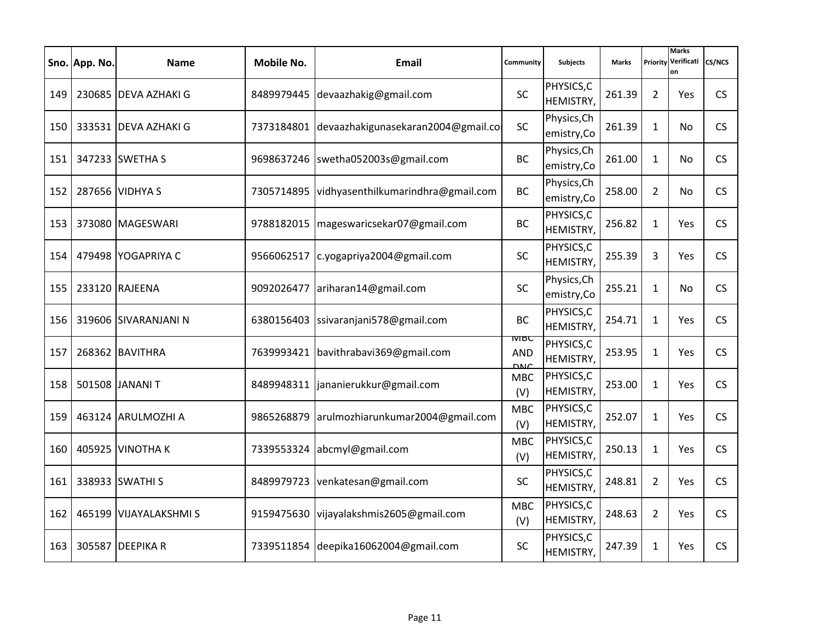|     | Sno. App. No. | <b>Name</b>           | Mobile No. | Email                              | Community                       | <b>Subjects</b>            | <b>Marks</b> | Priority       | <b>Marks</b><br>Verificati<br>on | <b>CS/NCS</b> |
|-----|---------------|-----------------------|------------|------------------------------------|---------------------------------|----------------------------|--------------|----------------|----------------------------------|---------------|
| 149 |               | 230685 DEVA AZHAKI G  | 8489979445 | devaazhakig@gmail.com              | <b>SC</b>                       | PHYSICS, C<br>HEMISTRY,    | 261.39       | $\overline{2}$ | Yes                              | CS            |
| 150 |               | 333531 IDEVA AZHAKI G | 7373184801 | devaazhakigunasekaran2004@gmail.co | <b>SC</b>                       | Physics, Ch<br>emistry, Co | 261.39       | 1              | No.                              | <b>CS</b>     |
| 151 |               | 347233 SWETHA S       | 9698637246 | swetha052003s@gmail.com            | <b>BC</b>                       | Physics, Ch<br>emistry, Co | 261.00       | $\mathbf{1}$   | No.                              | <b>CS</b>     |
| 152 |               | 287656 VIDHYA S       | 7305714895 | vidhyasenthilkumarindhra@gmail.com | <b>BC</b>                       | Physics, Ch<br>emistry, Co | 258.00       | $\overline{2}$ | No.                              | CS            |
| 153 |               | 373080 MAGESWARI      | 9788182015 | mageswaricsekar07@gmail.com        | <b>BC</b>                       | PHYSICS,C<br>HEMISTRY,     | 256.82       | $\mathbf{1}$   | <b>Yes</b>                       | CS            |
| 154 |               | 479498 YOGAPRIYA C    | 9566062517 | c.yogapriya2004@gmail.com          | <b>SC</b>                       | PHYSICS, C<br>HEMISTRY,    | 255.39       | 3              | Yes                              | CS            |
| 155 |               | 233120 RAJEENA        | 9092026477 | ariharan14@gmail.com               | <b>SC</b>                       | Physics, Ch<br>emistry, Co | 255.21       | $\mathbf{1}$   | No.                              | <b>CS</b>     |
| 156 |               | 319606 SIVARANJANI N  | 6380156403 | ssivaranjani578@gmail.com          | <b>BC</b>                       | PHYSICS, C<br>HEMISTRY,    | 254.71       | $\mathbf{1}$   | <b>Yes</b>                       | CS            |
| 157 |               | 268362 BAVITHRA       | 7639993421 | bavithrabavi369@gmail.com          | MBC<br><b>AND</b><br><b>DNC</b> | PHYSICS, C<br>HEMISTRY,    | 253.95       | 1              | <b>Yes</b>                       | <b>CS</b>     |
| 158 |               | 501508 JANANI T       | 8489948311 | jananierukkur@gmail.com            | <b>MBC</b><br>(V)               | PHYSICS, C<br>HEMISTRY,    | 253.00       | 1              | Yes                              | <b>CS</b>     |
| 159 |               | 463124 ARULMOZHI A    | 9865268879 | arulmozhiarunkumar2004@gmail.com   | <b>MBC</b><br>(V)               | PHYSICS, C<br>HEMISTRY,    | 252.07       | $\mathbf{1}$   | <b>Yes</b>                       | CS            |
| 160 |               | 405925 VINOTHA K      | 7339553324 | abcmyl@gmail.com                   | <b>MBC</b><br>(V)               | PHYSICS, C<br>HEMISTRY,    | 250.13       | $\mathbf{1}$   | <b>Yes</b>                       | <b>CS</b>     |
| 161 |               | 338933 SWATHI S       | 8489979723 | venkatesan@gmail.com               | <b>SC</b>                       | PHYSICS, C<br>HEMISTRY,    | 248.81       | $\overline{2}$ | <b>Yes</b>                       | CS            |
| 162 |               | 465199 VIJAYALAKSHMIS | 9159475630 | vijayalakshmis2605@gmail.com       | <b>MBC</b><br>(V)               | PHYSICS, C<br>HEMISTRY,    | 248.63       | $\overline{2}$ | Yes                              | <b>CS</b>     |
| 163 |               | 305587 DEEPIKA R      | 7339511854 | deepika16062004@gmail.com          | <b>SC</b>                       | PHYSICS, C<br>HEMISTRY,    | 247.39       | $\mathbf{1}$   | <b>Yes</b>                       | <b>CS</b>     |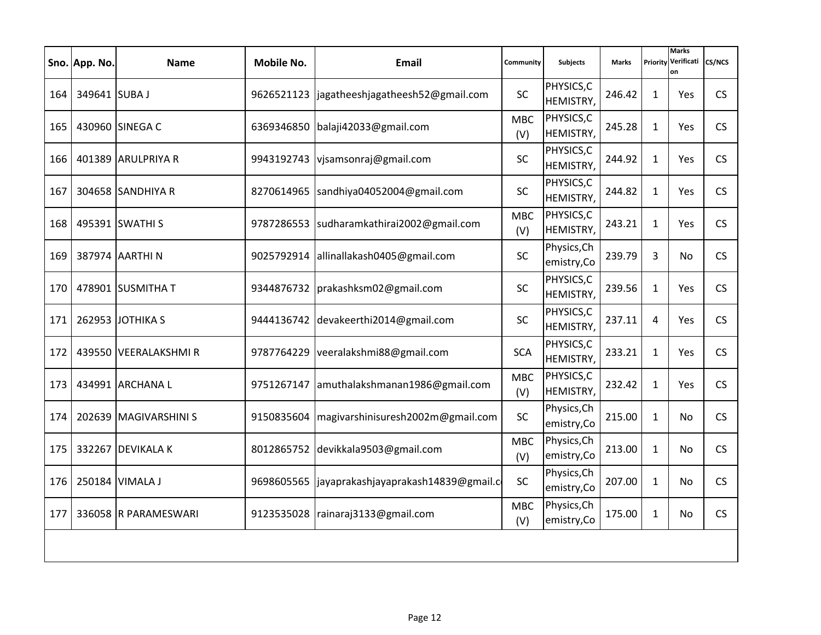|     | Sno. App. No. | <b>Name</b>           | <b>Mobile No.</b> | Email                                           | Community         | <b>Subjects</b>            | <b>Marks</b> | Priority     | <b>Marks</b><br>Verificati<br>on | <b>CS/NCS</b> |
|-----|---------------|-----------------------|-------------------|-------------------------------------------------|-------------------|----------------------------|--------------|--------------|----------------------------------|---------------|
| 164 | 349641 SUBA J |                       |                   | 9626521123  jagatheeshjagatheesh52@gmail.com    | <b>SC</b>         | PHYSICS, C<br>HEMISTRY,    | 246.42       | $\mathbf{1}$ | Yes                              | <b>CS</b>     |
| 165 |               | 430960 SINEGA C       | 6369346850        | balaji42033@gmail.com                           | <b>MBC</b><br>(V) | PHYSICS, C<br>HEMISTRY,    | 245.28       | $\mathbf{1}$ | Yes                              | <b>CS</b>     |
| 166 |               | 401389 ARULPRIYA R    | 9943192743        | vjsamsonraj@gmail.com                           | <b>SC</b>         | PHYSICS, C<br>HEMISTRY,    | 244.92       | $\mathbf{1}$ | Yes                              | <b>CS</b>     |
| 167 |               | 304658 SANDHIYA R     |                   | 8270614965   sandhiya04052004@gmail.com         | <b>SC</b>         | PHYSICS, C<br>HEMISTRY,    | 244.82       | $\mathbf{1}$ | Yes                              | <b>CS</b>     |
| 168 |               | 495391 SWATHI S       | 9787286553        | sudharamkathirai2002@gmail.com                  | <b>MBC</b><br>(V) | PHYSICS, C<br>HEMISTRY,    | 243.21       | $\mathbf{1}$ | Yes                              | CS            |
| 169 |               | 387974 AARTHI N       | 9025792914        | allinallakash0405@gmail.com                     | <b>SC</b>         | Physics, Ch<br>emistry, Co | 239.79       | 3            | No.                              | <b>CS</b>     |
| 170 |               | 478901 SUSMITHA T     |                   | 9344876732   prakashksm02@gmail.com             | <b>SC</b>         | PHYSICS, C<br>HEMISTRY,    | 239.56       | $\mathbf{1}$ | Yes                              | <b>CS</b>     |
| 171 |               | 262953 JOTHIKA S      | 9444136742        | devakeerthi2014@gmail.com                       | <b>SC</b>         | PHYSICS, C<br>HEMISTRY,    | 237.11       | 4            | Yes                              | CS            |
| 172 |               | 439550 VEERALAKSHMIR  | 9787764229        | veeralakshmi88@gmail.com                        | <b>SCA</b>        | PHYSICS, C<br>HEMISTRY,    | 233.21       | $\mathbf{1}$ | Yes                              | CS            |
| 173 |               | 434991 ARCHANA L      | 9751267147        | amuthalakshmanan1986@gmail.com                  | <b>MBC</b><br>(V) | PHYSICS, C<br>HEMISTRY,    | 232.42       | $\mathbf{1}$ | Yes                              | <b>CS</b>     |
| 174 |               | 202639 MAGIVARSHINI S | 9150835604        | magivarshinisuresh2002m@gmail.com               | SC                | Physics, Ch<br>emistry, Co | 215.00       | $\mathbf{1}$ | No.                              | <b>CS</b>     |
| 175 |               | 332267 DEVIKALA K     | 8012865752        | devikkala9503@gmail.com                         | <b>MBC</b><br>(V) | Physics, Ch<br>emistry, Co | 213.00       | $\mathbf{1}$ | No                               | <b>CS</b>     |
| 176 |               | 250184 VIMALA J       |                   | 9698605565  jayaprakashjayaprakash14839@gmail.c | <b>SC</b>         | Physics, Ch<br>emistry,Co  | 207.00       | $\mathbf{1}$ | No.                              | <b>CS</b>     |
| 177 |               | 336058 R PARAMESWARI  | 9123535028        | rainaraj3133@gmail.com                          | <b>MBC</b><br>(V) | Physics, Ch<br>emistry, Co | 175.00       | $\mathbf{1}$ | No.                              | <b>CS</b>     |
|     |               |                       |                   |                                                 |                   |                            |              |              |                                  |               |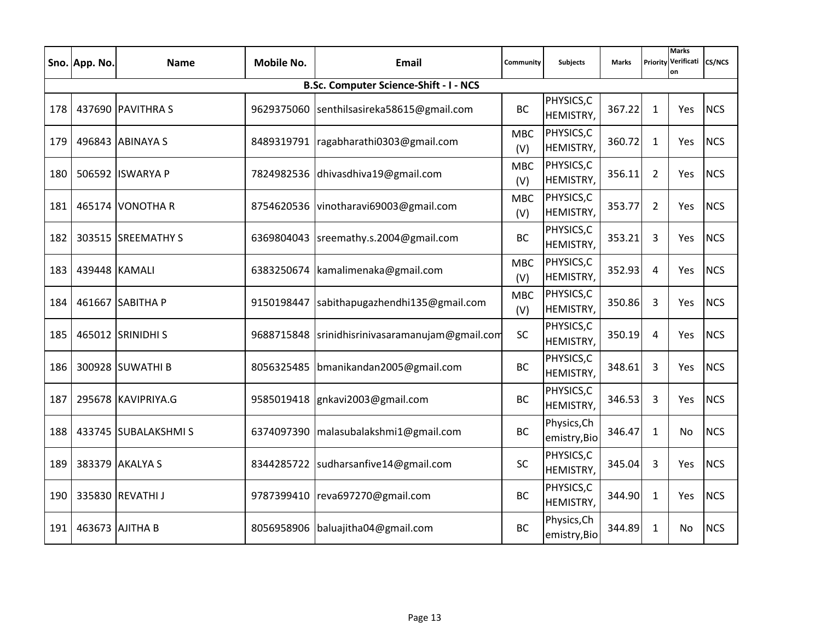|     | Sno. App. No. | <b>Name</b>         | <b>Mobile No.</b> | Email                                  | Community         | <b>Subjects</b>             | <b>Marks</b> | Priority       | <b>Marks</b><br>Verificati<br>on | <b>CS/NCS</b> |
|-----|---------------|---------------------|-------------------|----------------------------------------|-------------------|-----------------------------|--------------|----------------|----------------------------------|---------------|
|     |               |                     |                   | B.Sc. Computer Science-Shift - I - NCS |                   |                             |              |                |                                  |               |
| 178 |               | 437690 PAVITHRA S   | 9629375060        | senthilsasireka58615@gmail.com         | <b>BC</b>         | PHYSICS, C<br>HEMISTRY,     | 367.22       | $\mathbf{1}$   | Yes                              | <b>NCS</b>    |
| 179 |               | 496843 ABINAYA S    | 8489319791        | ragabharathi0303@gmail.com             | <b>MBC</b><br>(V) | PHYSICS,C<br>HEMISTRY,      | 360.72       | $\mathbf{1}$   | Yes                              | <b>NCS</b>    |
| 180 |               | 506592 ISWARYA P    |                   | 7824982536 dhivasdhiva19@gmail.com     | <b>MBC</b><br>(V) | PHYSICS, C<br>HEMISTRY,     | 356.11       | $\overline{2}$ | Yes                              | <b>NCS</b>    |
| 181 |               | 465174 VONOTHA R    | 8754620536        | vinotharavi69003@gmail.com             | <b>MBC</b><br>(V) | PHYSICS, C<br>HEMISTRY,     | 353.77       | $\overline{2}$ | Yes                              | <b>NCS</b>    |
| 182 |               | 303515 SREEMATHY S  | 6369804043        | sreemathy.s.2004@gmail.com             | <b>BC</b>         | PHYSICS,C<br>HEMISTRY,      | 353.21       | $\overline{3}$ | Yes                              | <b>NCS</b>    |
| 183 | 439448 KAMALI |                     | 6383250674        | kamalimenaka@gmail.com                 | <b>MBC</b><br>(V) | PHYSICS, C<br>HEMISTRY,     | 352.93       | 4              | Yes                              | <b>NCS</b>    |
| 184 |               | 461667 SABITHA P    | 9150198447        | sabithapugazhendhi135@gmail.com        | <b>MBC</b><br>(V) | PHYSICS, C<br>HEMISTRY,     | 350.86       | $\mathbf{3}$   | Yes                              | <b>NCS</b>    |
| 185 |               | 465012 SRINIDHI S   | 9688715848        | srinidhisrinivasaramanujam@gmail.com   | <b>SC</b>         | PHYSICS, C<br>HEMISTRY,     | 350.19       | 4              | Yes                              | <b>NCS</b>    |
| 186 |               | 300928 SUWATHI B    | 8056325485        | bmanikandan2005@gmail.com              | <b>BC</b>         | PHYSICS, C<br>HEMISTRY,     | 348.61       | 3              | Yes                              | <b>NCS</b>    |
| 187 |               | 295678 KAVIPRIYA.G  | 9585019418        | gnkavi2003@gmail.com                   | <b>BC</b>         | PHYSICS, C<br>HEMISTRY,     | 346.53       | 3              | Yes                              | <b>NCS</b>    |
| 188 |               | 433745 SUBALAKSHMIS | 6374097390        | malasubalakshmi1@gmail.com             | <b>BC</b>         | Physics, Ch<br>emistry, Bio | 346.47       | $\mathbf{1}$   | No                               | <b>NCS</b>    |
| 189 |               | 383379 AKALYA S     | 8344285722        | sudharsanfive14@gmail.com              | <b>SC</b>         | PHYSICS, C<br>HEMISTRY,     | 345.04       | 3              | Yes                              | <b>NCS</b>    |
| 190 |               | 335830 REVATHI J    | 9787399410        | reva697270@gmail.com                   | <b>BC</b>         | PHYSICS, C<br>HEMISTRY,     | 344.90       | $\mathbf{1}$   | Yes                              | <b>NCS</b>    |
| 191 |               | 463673 AJITHA B     | 8056958906        | baluajitha04@gmail.com                 | <b>BC</b>         | Physics, Ch<br>emistry, Bio | 344.89       | $\mathbf{1}$   | No                               | <b>NCS</b>    |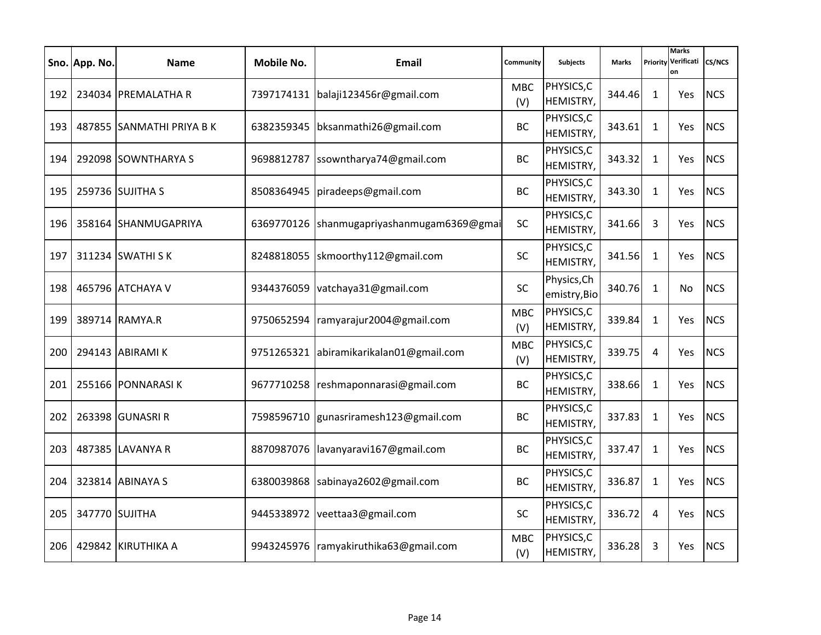|     | Sno. App. No. | <b>Name</b>               | Mobile No. | Email                                | Community         | <b>Subjects</b>             | <b>Marks</b> | Priority     | <b>Marks</b><br>Verificati<br>on | <b>CS/NCS</b> |
|-----|---------------|---------------------------|------------|--------------------------------------|-------------------|-----------------------------|--------------|--------------|----------------------------------|---------------|
| 192 |               | 234034 PREMALATHA R       |            | 7397174131   balaji123456r@gmail.com | <b>MBC</b><br>(V) | PHYSICS, C<br>HEMISTRY,     | 344.46       | 1            | <b>Yes</b>                       | <b>NCS</b>    |
| 193 |               | 487855 SANMATHI PRIYA B K | 6382359345 | bksanmathi26@gmail.com               | <b>BC</b>         | PHYSICS, C<br>HEMISTRY,     | 343.61       | 1            | Yes                              | <b>NCS</b>    |
| 194 |               | 292098 SOWNTHARYA S       | 9698812787 | ssowntharya74@gmail.com              | <b>BC</b>         | PHYSICS, C<br>HEMISTRY,     | 343.32       | $\mathbf{1}$ | Yes                              | <b>NCS</b>    |
| 195 |               | 259736 SUJITHA S          | 8508364945 | piradeeps@gmail.com                  | <b>BC</b>         | PHYSICS, C<br>HEMISTRY,     | 343.30       | $\mathbf{1}$ | Yes                              | <b>NCS</b>    |
| 196 |               | 358164 SHANMUGAPRIYA      | 6369770126 | shanmugapriyashanmugam6369@gmai      | SC                | PHYSICS, C<br>HEMISTRY,     | 341.66       | 3            | Yes                              | <b>NCS</b>    |
| 197 |               | 311234 SWATHI SK          | 8248818055 | skmoorthy112@gmail.com               | <b>SC</b>         | PHYSICS, C<br>HEMISTRY,     | 341.56       | $\mathbf{1}$ | Yes                              | <b>NCS</b>    |
| 198 |               | 465796 ATCHAYA V          | 9344376059 | vatchaya31@gmail.com                 | <b>SC</b>         | Physics, Ch<br>emistry, Bio | 340.76       | $\mathbf{1}$ | No.                              | <b>NCS</b>    |
| 199 |               | 389714 RAMYA.R            | 9750652594 | ramyarajur2004@gmail.com             | <b>MBC</b><br>(V) | PHYSICS, C<br>HEMISTRY,     | 339.84       | $\mathbf{1}$ | <b>Yes</b>                       | <b>NCS</b>    |
| 200 |               | 294143 ABIRAMI K          | 9751265321 | abiramikarikalan01@gmail.com         | <b>MBC</b><br>(V) | PHYSICS, C<br>HEMISTRY,     | 339.75       | 4            | Yes                              | <b>NCS</b>    |
| 201 |               | 255166 PONNARASIK         | 9677710258 | reshmaponnarasi@gmail.com            | <b>BC</b>         | PHYSICS, C<br>HEMISTRY,     | 338.66       | 1            | <b>Yes</b>                       | <b>NCS</b>    |
| 202 |               | 263398 GUNASRI R          | 7598596710 | gunasriramesh123@gmail.com           | <b>BC</b>         | PHYSICS, C<br>HEMISTRY,     | 337.83       | $\mathbf{1}$ | Yes                              | <b>NCS</b>    |
| 203 |               | 487385 LAVANYA R          | 8870987076 | lavanyaravi167@gmail.com             | <b>BC</b>         | PHYSICS, C<br>HEMISTRY,     | 337.47       | $\mathbf{1}$ | Yes                              | <b>NCS</b>    |
| 204 |               | 323814 ABINAYA S          | 6380039868 | sabinaya2602@gmail.com               | <b>BC</b>         | PHYSICS, C<br>HEMISTRY,     | 336.87       | $\mathbf{1}$ | Yes                              | <b>NCS</b>    |
| 205 |               | 347770 SUJITHA            | 9445338972 | veettaa3@gmail.com                   | <b>SC</b>         | PHYSICS, C<br>HEMISTRY,     | 336.72       | 4            | Yes                              | <b>NCS</b>    |
| 206 |               | 429842 KIRUTHIKA A        | 9943245976 | ramyakiruthika63@gmail.com           | <b>MBC</b><br>(V) | PHYSICS, C<br>HEMISTRY,     | 336.28       | 3            | <b>Yes</b>                       | <b>NCS</b>    |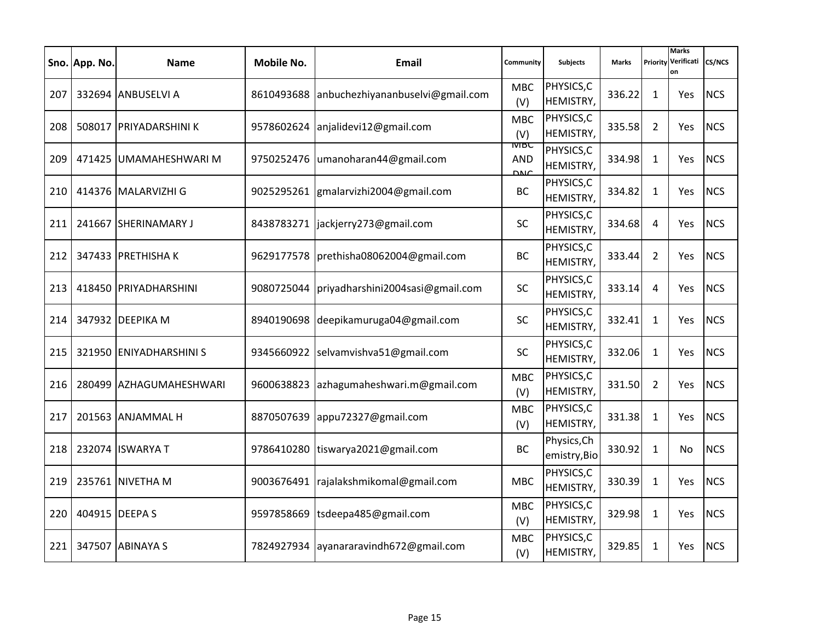|     | Sno. App. No. | <b>Name</b>             | Mobile No. | Email                                | Community                       | <b>Subjects</b>             | <b>Marks</b> | Priority       | <b>Marks</b><br>Verificati<br>on | <b>CS/NCS</b> |
|-----|---------------|-------------------------|------------|--------------------------------------|---------------------------------|-----------------------------|--------------|----------------|----------------------------------|---------------|
| 207 |               | 332694 ANBUSELVI A      | 8610493688 | anbuchezhiyananbuselvi@gmail.com     | <b>MBC</b><br>(V)               | PHYSICS, C<br>HEMISTRY,     | 336.22       | 1              | Yes                              | <b>NCS</b>    |
| 208 |               | 508017 PRIYADARSHINI K  | 9578602624 | anjalidevi12@gmail.com               | <b>MBC</b><br>(V)               | PHYSICS, C<br>HEMISTRY,     | 335.58       | $\overline{2}$ | Yes                              | <b>NCS</b>    |
| 209 |               | 471425 UMAMAHESHWARI M  | 9750252476 | umanoharan44@gmail.com               | MBС<br><b>AND</b><br><b>DNC</b> | PHYSICS,C<br>HEMISTRY,      | 334.98       | $\mathbf{1}$   | Yes                              | <b>NCS</b>    |
| 210 |               | 414376 MALARVIZHI G     | 9025295261 | gmalarvizhi2004@gmail.com            | BC                              | PHYSICS, C<br>HEMISTRY,     | 334.82       | $\mathbf{1}$   | Yes                              | <b>NCS</b>    |
| 211 |               | 241667 SHERINAMARY J    | 8438783271 | jackjerry273@gmail.com               | SC                              | PHYSICS, C<br>HEMISTRY,     | 334.68       | 4              | Yes                              | <b>NCS</b>    |
| 212 |               | 347433 PRETHISHAK       | 9629177578 | prethisha08062004@gmail.com          | <b>BC</b>                       | PHYSICS, C<br>HEMISTRY,     | 333.44       | $\overline{2}$ | Yes                              | <b>NCS</b>    |
| 213 |               | 418450 PRIYADHARSHINI   | 9080725044 | priyadharshini2004sasi@gmail.com     | <b>SC</b>                       | PHYSICS, C<br>HEMISTRY,     | 333.14       | 4              | Yes                              | <b>NCS</b>    |
| 214 |               | 347932 DEEPIKA M        |            | 8940190698 deepikamuruga04@gmail.com | <b>SC</b>                       | PHYSICS, C<br>HEMISTRY,     | 332.41       | $\mathbf{1}$   | <b>Yes</b>                       | <b>NCS</b>    |
| 215 |               | 321950 ENIYADHARSHINI S | 9345660922 | selvamvishva51@gmail.com             | <b>SC</b>                       | PHYSICS, C<br>HEMISTRY,     | 332.06       | 1              | Yes                              | <b>NCS</b>    |
| 216 |               | 280499 AZHAGUMAHESHWARI | 9600638823 | azhagumaheshwari.m@gmail.com         | <b>MBC</b><br>(V)               | PHYSICS, C<br>HEMISTRY,     | 331.50       | $\overline{2}$ | <b>Yes</b>                       | <b>NCS</b>    |
| 217 |               | 201563 ANJAMMAL H       | 8870507639 | appu72327@gmail.com                  | <b>MBC</b><br>(V)               | PHYSICS, C<br>HEMISTRY,     | 331.38       | $\mathbf{1}$   | Yes                              | <b>NCS</b>    |
| 218 |               | 232074 ISWARYA T        | 9786410280 | tiswarya2021@gmail.com               | <b>BC</b>                       | Physics, Ch<br>emistry, Bio | 330.92       | $\mathbf{1}$   | No                               | <b>NCS</b>    |
| 219 |               | 235761 NIVETHA M        | 9003676491 | rajalakshmikomal@gmail.com           | <b>MBC</b>                      | PHYSICS, C<br>HEMISTRY,     | 330.39       | $\mathbf{1}$   | Yes                              | <b>NCS</b>    |
| 220 |               | 404915 DEEPA S          | 9597858669 | tsdeepa485@gmail.com                 | <b>MBC</b><br>(V)               | PHYSICS, C<br>HEMISTRY,     | 329.98       | $\mathbf{1}$   | Yes                              | <b>NCS</b>    |
| 221 |               | 347507 ABINAYA S        | 7824927934 | ayanararavindh672@gmail.com          | <b>MBC</b><br>(V)               | PHYSICS, C<br>HEMISTRY,     | 329.85       | $\mathbf{1}$   | <b>Yes</b>                       | <b>NCS</b>    |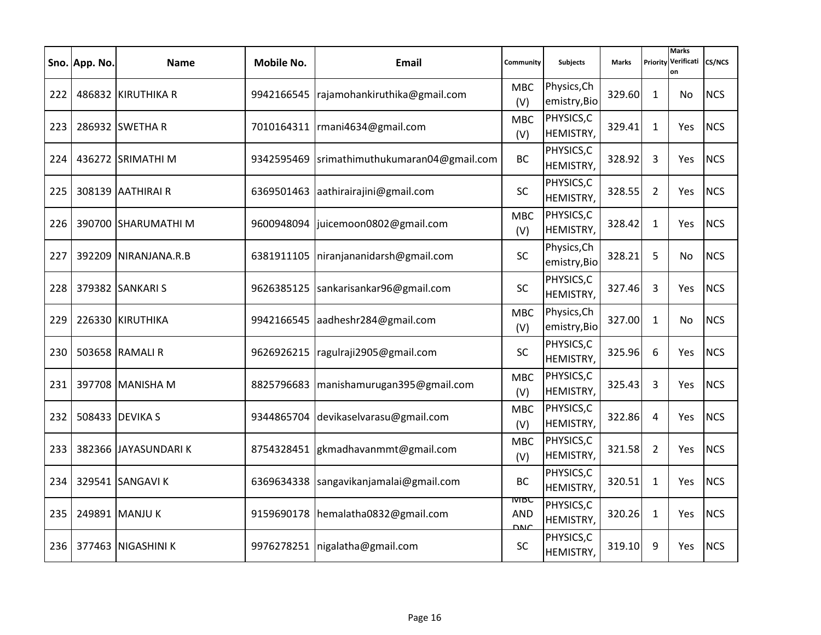|     | Sno. App. No. | <b>Name</b>          | Mobile No. | Email                            | Community                         | <b>Subjects</b>             | <b>Marks</b> | Priority       | <b>Marks</b><br>Verificati<br>on | <b>CS/NCS</b> |
|-----|---------------|----------------------|------------|----------------------------------|-----------------------------------|-----------------------------|--------------|----------------|----------------------------------|---------------|
| 222 |               | 486832 KIRUTHIKA R   | 9942166545 | rajamohankiruthika@gmail.com     | <b>MBC</b><br>(V)                 | Physics, Ch<br>emistry, Bio | 329.60       | 1              | No.                              | <b>NCS</b>    |
| 223 |               | 286932 SWETHA R      | 7010164311 | rmani4634@gmail.com              | <b>MBC</b><br>(V)                 | PHYSICS, C<br>HEMISTRY,     | 329.41       | 1              | Yes                              | <b>NCS</b>    |
| 224 |               | 436272 SRIMATHI M    | 9342595469 | srimathimuthukumaran04@gmail.com | <b>BC</b>                         | PHYSICS, C<br>HEMISTRY,     | 328.92       | 3              | Yes                              | <b>NCS</b>    |
| 225 |               | 308139 AATHIRAI R    | 6369501463 | aathirairajini@gmail.com         | <b>SC</b>                         | PHYSICS, C<br>HEMISTRY,     | 328.55       | $\overline{2}$ | Yes                              | <b>NCS</b>    |
| 226 |               | 390700 SHARUMATHI M  | 9600948094 | juicemoon0802@gmail.com          | <b>MBC</b><br>(V)                 | PHYSICS, C<br>HEMISTRY,     | 328.42       | $\mathbf{1}$   | Yes                              | <b>NCS</b>    |
| 227 |               | 392209 NIRANJANA.R.B | 6381911105 | niranjananidarsh@gmail.com       | <b>SC</b>                         | Physics, Ch<br>emistry, Bio | 328.21       | 5              | No.                              | <b>NCS</b>    |
| 228 |               | 379382 SANKARI S     | 9626385125 | sankarisankar96@gmail.com        | <b>SC</b>                         | PHYSICS, C<br>HEMISTRY,     | 327.46       | 3              | Yes                              | <b>NCS</b>    |
| 229 |               | 226330 KIRUTHIKA     |            | 9942166545 aadheshr284@gmail.com | <b>MBC</b><br>(V)                 | Physics, Ch<br>emistry, Bio | 327.00       | $\mathbf{1}$   | No.                              | <b>NCS</b>    |
| 230 |               | 503658 RAMALI R      | 9626926215 | ragulraji2905@gmail.com          | <b>SC</b>                         | PHYSICS, C<br>HEMISTRY,     | 325.96       | 6              | Yes                              | <b>NCS</b>    |
| 231 |               | 397708 MANISHA M     | 8825796683 | manishamurugan395@gmail.com      | <b>MBC</b><br>(V)                 | PHYSICS, C<br>HEMISTRY,     | 325.43       | 3              | Yes                              | <b>NCS</b>    |
| 232 |               | 508433 DEVIKA S      | 9344865704 | devikaselvarasu@gmail.com        | <b>MBC</b><br>(V)                 | PHYSICS, C<br>HEMISTRY,     | 322.86       | 4              | Yes                              | <b>NCS</b>    |
| 233 |               | 382366 JAYASUNDARIK  | 8754328451 | gkmadhavanmmt@gmail.com          | <b>MBC</b><br>(V)                 | PHYSICS, C<br>HEMISTRY,     | 321.58       | $\overline{2}$ | Yes                              | <b>NCS</b>    |
| 234 |               | 329541 SANGAVI K     | 6369634338 | sangavikanjamalai@gmail.com      | <b>BC</b>                         | PHYSICS, C<br>HEMISTRY,     | 320.51       | $\mathbf{1}$   | Yes                              | <b>NCS</b>    |
| 235 |               | 249891 MANJU K       | 9159690178 | hemalatha0832@gmail.com          | <b>IVIBC</b><br>AND<br><b>DNC</b> | PHYSICS, C<br>HEMISTRY,     | 320.26       | $\mathbf{1}$   | Yes                              | <b>NCS</b>    |
| 236 |               | 377463 NIGASHINI K   | 9976278251 | nigalatha@gmail.com              | <b>SC</b>                         | PHYSICS, C<br>HEMISTRY,     | 319.10       | 9              | <b>Yes</b>                       | <b>NCS</b>    |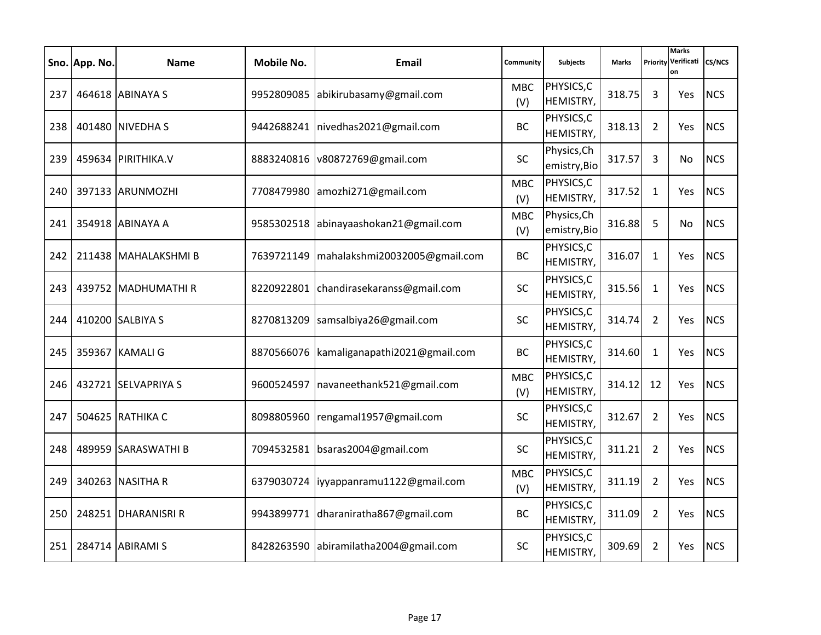|     | Sno. App. No. | <b>Name</b>          | Mobile No. | Email                         | Community         | <b>Subjects</b>             | <b>Marks</b> | Priority       | <b>Marks</b><br>Verificati<br>on | <b>CS/NCS</b> |
|-----|---------------|----------------------|------------|-------------------------------|-------------------|-----------------------------|--------------|----------------|----------------------------------|---------------|
| 237 |               | 464618 ABINAYA S     | 9952809085 | abikirubasamy@gmail.com       | <b>MBC</b><br>(V) | PHYSICS, C<br>HEMISTRY,     | 318.75       | 3              | <b>Yes</b>                       | <b>NCS</b>    |
| 238 |               | 401480 NIVEDHA S     | 9442688241 | nivedhas2021@gmail.com        | <b>BC</b>         | PHYSICS, C<br>HEMISTRY,     | 318.13       | $\overline{2}$ | Yes                              | <b>NCS</b>    |
| 239 |               | 459634 PIRITHIKA.V   | 8883240816 | v80872769@gmail.com           | <b>SC</b>         | Physics, Ch<br>emistry, Bio | 317.57       | 3              | No                               | <b>NCS</b>    |
| 240 |               | 397133 ARUNMOZHI     | 7708479980 | amozhi271@gmail.com           | <b>MBC</b><br>(V) | PHYSICS,C<br>HEMISTRY,      | 317.52       | $\mathbf{1}$   | Yes                              | <b>NCS</b>    |
| 241 |               | 354918 ABINAYA A     | 9585302518 | abinayaashokan21@gmail.com    | <b>MBC</b><br>(V) | Physics, Ch<br>emistry, Bio | 316.88       | 5              | No                               | <b>NCS</b>    |
| 242 |               | 211438 MAHALAKSHMI B | 7639721149 | mahalakshmi20032005@gmail.com | <b>BC</b>         | PHYSICS, C<br>HEMISTRY,     | 316.07       | $\mathbf{1}$   | Yes                              | <b>NCS</b>    |
| 243 |               | 439752 MADHUMATHI R  | 8220922801 | chandirasekaranss@gmail.com   | <b>SC</b>         | PHYSICS, C<br>HEMISTRY,     | 315.56       | $\mathbf{1}$   | Yes                              | <b>NCS</b>    |
| 244 |               | 410200 SALBIYA S     | 8270813209 | samsalbiya26@gmail.com        | <b>SC</b>         | PHYSICS, C<br>HEMISTRY,     | 314.74       | $\overline{2}$ | <b>Yes</b>                       | <b>NCS</b>    |
| 245 |               | 359367 KAMALI G      | 8870566076 | kamaliganapathi2021@gmail.com | <b>BC</b>         | PHYSICS, C<br>HEMISTRY,     | 314.60       | 1              | Yes                              | <b>NCS</b>    |
| 246 |               | 432721 SELVAPRIYA S  | 9600524597 | navaneethank521@gmail.com     | <b>MBC</b><br>(V) | PHYSICS, C<br>HEMISTRY,     | 314.12       | 12             | <b>Yes</b>                       | <b>NCS</b>    |
| 247 |               | 504625 RATHIKA C     | 8098805960 | rengamal1957@gmail.com        | <b>SC</b>         | PHYSICS, C<br>HEMISTRY,     | 312.67       | $\overline{2}$ | Yes                              | <b>NCS</b>    |
| 248 |               | 489959 SARASWATHI B  | 7094532581 | bsaras2004@gmail.com          | <b>SC</b>         | PHYSICS,C<br>HEMISTRY,      | 311.21       | $\overline{2}$ | Yes                              | <b>NCS</b>    |
| 249 |               | 340263 NASITHA R     | 6379030724 | iyyappanramu1122@gmail.com    | <b>MBC</b><br>(V) | PHYSICS,C<br>HEMISTRY,      | 311.19       | $\overline{2}$ | <b>Yes</b>                       | <b>NCS</b>    |
| 250 |               | 248251 DHARANISRI R  | 9943899771 | dharaniratha867@gmail.com     | <b>BC</b>         | PHYSICS, C<br>HEMISTRY,     | 311.09       | $\overline{2}$ | Yes                              | <b>NCS</b>    |
| 251 |               | 284714 ABIRAMI S     | 8428263590 | abiramilatha2004@gmail.com    | <b>SC</b>         | PHYSICS, C<br>HEMISTRY,     | 309.69       | $\overline{2}$ | <b>Yes</b>                       | <b>NCS</b>    |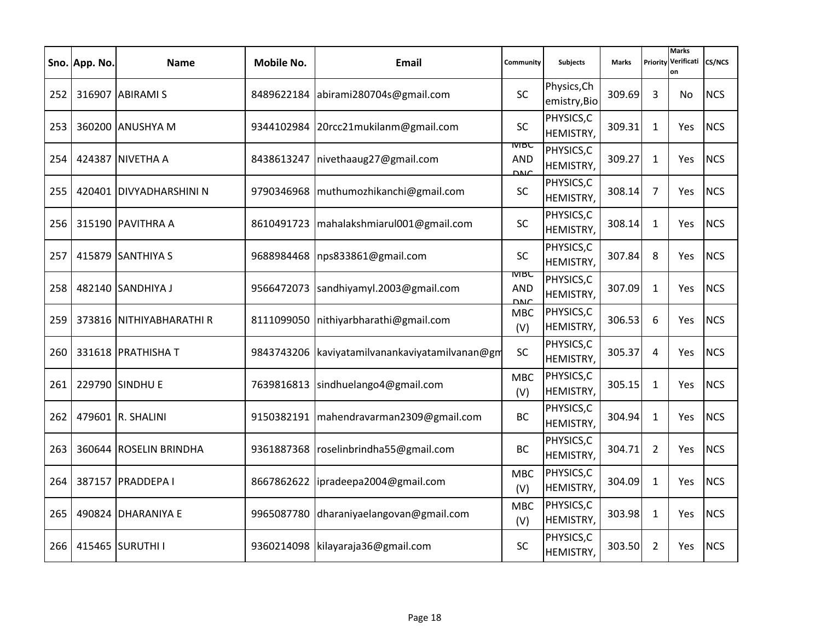|     | Sno. App. No. | <b>Name</b>              | Mobile No. | Email                               | Community                                | <b>Subjects</b>               | <b>Marks</b> | Priority       | <b>Marks</b><br>Verificati<br>on | CS/NCS     |
|-----|---------------|--------------------------|------------|-------------------------------------|------------------------------------------|-------------------------------|--------------|----------------|----------------------------------|------------|
| 252 |               | 316907 ABIRAMI S         | 8489622184 | abirami280704s@gmail.com            | <b>SC</b>                                | Physics, Ch<br>emistry, Bio   | 309.69       | 3              | No                               | <b>NCS</b> |
| 253 |               | 360200 ANUSHYA M         | 9344102984 | 20rcc21mukilanm@gmail.com           | <b>SC</b>                                | PHYSICS, C<br>HEMISTRY,       | 309.31       | $\mathbf{1}$   | Yes                              | <b>NCS</b> |
| 254 |               | 424387 NIVETHA A         | 8438613247 | nivethaaug27@gmail.com              | <b>IVIBC</b><br><b>AND</b><br><b>DNC</b> | PHYSICS, C<br>HEMISTRY,       | 309.27       | $\mathbf{1}$   | Yes                              | <b>NCS</b> |
| 255 |               | 420401 DIVYADHARSHINI N  | 9790346968 | muthumozhikanchi@gmail.com          | <b>SC</b>                                | PHYSICS, C<br>HEMISTRY,       | 308.14       | $\overline{7}$ | Yes                              | <b>NCS</b> |
| 256 |               | 315190 PAVITHRA A        | 8610491723 | mahalakshmiarul001@gmail.com        | SC                                       | PHYSICS, C<br>HEMISTRY,       | 308.14       | $\mathbf{1}$   | Yes                              | <b>NCS</b> |
| 257 |               | 415879 SANTHIYA S        | 9688984468 | nps833861@gmail.com                 | <b>SC</b>                                | PHYSICS, C<br>HEMISTRY,       | 307.84       | 8              | Yes                              | <b>NCS</b> |
| 258 |               | 482140 SANDHIYA J        | 9566472073 | sandhiyamyl.2003@gmail.com          | <b>IVIDC</b><br><b>AND</b><br><b>DNC</b> | PHYSICS, C<br>HEMISTRY,       | 307.09       | $\mathbf{1}$   | Yes                              | <b>NCS</b> |
| 259 |               | 373816 NITHIYABHARATHI R | 8111099050 | nithiyarbharathi@gmail.com          | <b>MBC</b><br>(V)                        | PHYSICS, C<br>HEMISTRY,       | 306.53       | 6              | Yes                              | <b>NCS</b> |
| 260 |               | 331618 PRATHISHA T       | 9843743206 | kaviyatamilvanankaviyatamilvanan@gm | <b>SC</b>                                | PHYSICS, C<br>HEMISTRY,       | 305.37       | 4              | Yes                              | <b>NCS</b> |
| 261 |               | 229790 SINDHU E          | 7639816813 | sindhuelango4@gmail.com             | <b>MBC</b><br>(V)                        | PHYSICS, C<br>HEMISTRY,       | 305.15       | $\mathbf{1}$   | Yes                              | <b>NCS</b> |
| 262 |               | 479601 R. SHALINI        | 9150382191 | mahendravarman2309@gmail.com        | <b>BC</b>                                | PHYSICS, C<br>HEMISTRY,       | 304.94       | $\mathbf{1}$   | Yes                              | <b>NCS</b> |
| 263 |               | 360644 ROSELIN BRINDHA   | 9361887368 | roselinbrindha55@gmail.com          | <b>BC</b>                                | PHYSICS, C<br>HEMISTRY,       | 304.71       | $\overline{2}$ | Yes                              | <b>NCS</b> |
| 264 |               | 387157 PRADDEPA I        | 8667862622 | ipradeepa2004@gmail.com             | <b>MBC</b><br>(V)                        | PHYSICS,C<br>HEMISTRY,        | 304.09       | $\mathbf{1}$   | Yes                              | <b>NCS</b> |
| 265 |               | 490824 DHARANIYA E       | 9965087780 | dharaniyaelangovan@gmail.com        | <b>MBC</b><br>(V)                        | PHYSICS, C<br>HEMISTRY,       | 303.98       | $\mathbf{1}$   | Yes                              | <b>NCS</b> |
| 266 |               | 415465 SURUTHI I         | 9360214098 | kilayaraja36@gmail.com              | <b>SC</b>                                | PHYSICS, C<br><b>HEMISTRY</b> | 303.50       | $\overline{2}$ | Yes                              | <b>NCS</b> |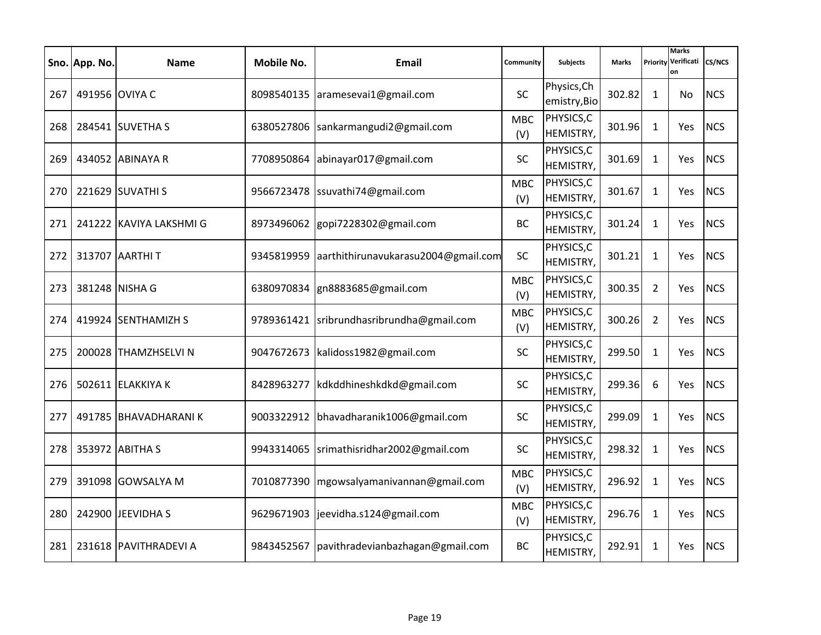|     | Sno. App. No. | <b>Name</b>             | Mobile No. | Email                                     | Community         | <b>Subjects</b>               | <b>Marks</b> | Priority       | <b>Marks</b><br>Verificati<br>on | CS/NCS     |
|-----|---------------|-------------------------|------------|-------------------------------------------|-------------------|-------------------------------|--------------|----------------|----------------------------------|------------|
| 267 |               | 491956 OVIYA C          |            | 8098540135 aramesevai1@gmail.com          | SC                | Physics, Ch<br>emistry, Bio   | 302.82       | $\mathbf{1}$   | No                               | <b>NCS</b> |
| 268 |               | 284541 SUVETHA S        | 6380527806 | sankarmangudi2@gmail.com                  | <b>MBC</b><br>(V) | PHYSICS,C<br><b>HEMISTRY,</b> | 301.96       | $\mathbf{1}$   | Yes                              | <b>NCS</b> |
| 269 |               | 434052 ABINAYA R        | 7708950864 | abinayar017@gmail.com                     | <b>SC</b>         | PHYSICS, C<br>HEMISTRY,       | 301.69       | $\mathbf{1}$   | Yes                              | <b>NCS</b> |
| 270 |               | 221629 SUVATHI S        | 9566723478 | ssuvathi74@gmail.com                      | <b>MBC</b><br>(V) | PHYSICS,C<br>HEMISTRY,        | 301.67       | $\mathbf{1}$   | Yes                              | <b>NCS</b> |
| 271 |               | 241222 KAVIYA LAKSHMI G | 8973496062 | gopi7228302@gmail.com                     | <b>BC</b>         | PHYSICS, C<br>HEMISTRY,       | 301.24       | $\mathbf{1}$   | Yes                              | <b>NCS</b> |
| 272 |               | 313707 AARTHIT          | 9345819959 | aarthithirunavukarasu2004@gmail.com       | SC                | PHYSICS, C<br>HEMISTRY,       | 301.21       | $\mathbf{1}$   | Yes                              | <b>NCS</b> |
| 273 |               | 381248 NISHA G          | 6380970834 | gn8883685@gmail.com                       | <b>MBC</b><br>(V) | PHYSICS, C<br>HEMISTRY,       | 300.35       | $\overline{2}$ | Yes                              | <b>NCS</b> |
| 274 |               | 419924 SENTHAMIZH S     |            | 9789361421 sribrundhasribrundha@gmail.com | <b>MBC</b><br>(V) | PHYSICS, C<br>HEMISTRY,       | 300.26       | $\overline{2}$ | Yes                              | <b>NCS</b> |
| 275 |               | 200028 THAMZHSELVI N    | 9047672673 | kalidoss1982@gmail.com                    | <b>SC</b>         | PHYSICS, C<br>HEMISTRY,       | 299.50       | $\mathbf{1}$   | Yes                              | <b>NCS</b> |
| 276 |               | 502611 ELAKKIYA K       | 8428963277 | kdkddhineshkdkd@gmail.com                 | <b>SC</b>         | PHYSICS, C<br>HEMISTRY,       | 299.36       | 6              | Yes                              | <b>NCS</b> |
| 277 |               | 491785 BHAVADHARANIK    | 9003322912 | bhavadharanik1006@gmail.com               | <b>SC</b>         | PHYSICS, C<br>HEMISTRY,       | 299.09       | $\mathbf{1}$   | Yes                              | <b>NCS</b> |
| 278 |               | 353972 ABITHA S         | 9943314065 | srimathisridhar2002@gmail.com             | SC                | PHYSICS, C<br>HEMISTRY,       | 298.32       | $\mathbf{1}$   | Yes                              | <b>NCS</b> |
| 279 |               | 391098 GOWSALYA M       | 7010877390 | mgowsalyamanivannan@gmail.com             | <b>MBC</b><br>(V) | PHYSICS,C<br>HEMISTRY,        | 296.92       | $\mathbf{1}$   | Yes                              | <b>NCS</b> |
| 280 |               | 242900 JEEVIDHA S       | 9629671903 | jeevidha.s124@gmail.com                   | <b>MBC</b><br>(V) | PHYSICS, C<br>HEMISTRY,       | 296.76       | $\mathbf{1}$   | Yes                              | <b>NCS</b> |
| 281 |               | 231618 PAVITHRADEVI A   | 9843452567 | pavithradevianbazhagan@gmail.com          | <b>BC</b>         | PHYSICS, C<br><b>HEMISTRY</b> | 292.91       | $\mathbf{1}$   | Yes                              | <b>NCS</b> |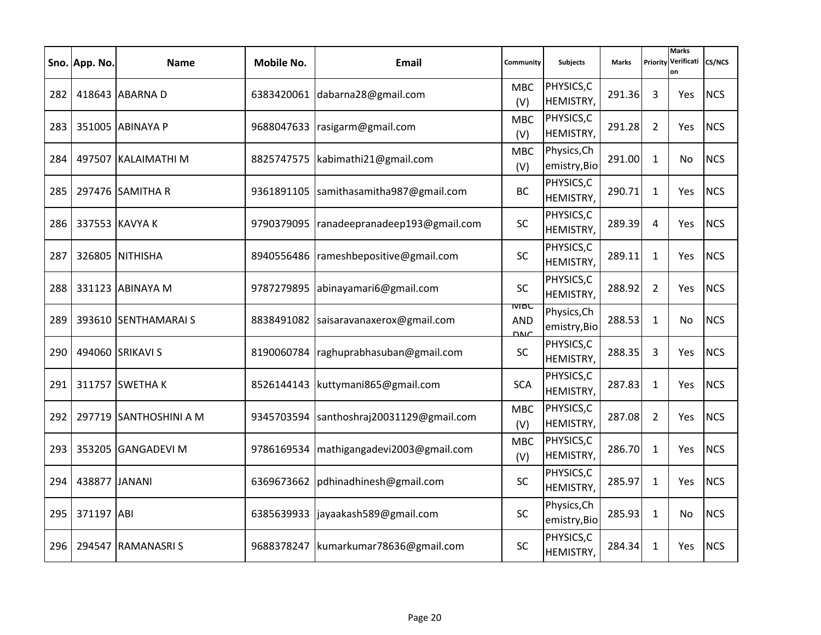|     | Sno. App. No. | <b>Name</b>            | Mobile No. | Email                                   | Community                                 | <b>Subjects</b>               | <b>Marks</b> | Priority       | <b>Marks</b><br>Verificati<br>on | CS/NCS     |
|-----|---------------|------------------------|------------|-----------------------------------------|-------------------------------------------|-------------------------------|--------------|----------------|----------------------------------|------------|
| 282 |               | 418643 ABARNA D        |            | 6383420061 dabarna28@gmail.com          | <b>MBC</b><br>(V)                         | PHYSICS, C<br>HEMISTRY,       | 291.36       | 3              | Yes                              | <b>NCS</b> |
| 283 |               | 351005 ABINAYA P       | 9688047633 | rasigarm@gmail.com                      | <b>MBC</b><br>(V)                         | PHYSICS, C<br>HEMISTRY,       | 291.28       | $\overline{2}$ | Yes                              | <b>NCS</b> |
| 284 |               | 497507 KALAIMATHI M    | 8825747575 | kabimathi21@gmail.com                   | <b>MBC</b><br>(V)                         | Physics, Ch<br>emistry, Bio   | 291.00       | $\mathbf{1}$   | No                               | <b>NCS</b> |
| 285 |               | 297476 SAMITHA R       | 9361891105 | samithasamitha987@gmail.com             | <b>BC</b>                                 | PHYSICS, C<br>HEMISTRY,       | 290.71       | $\mathbf{1}$   | Yes                              | <b>NCS</b> |
| 286 |               | 337553 KAVYA K         | 9790379095 | ranadeepranadeep193@gmail.com           | SC                                        | PHYSICS, C<br>HEMISTRY,       | 289.39       | 4              | Yes                              | <b>NCS</b> |
| 287 |               | 326805 NITHISHA        | 8940556486 | rameshbepositive@gmail.com              | <b>SC</b>                                 | PHYSICS, C<br>HEMISTRY,       | 289.11       | $\mathbf{1}$   | Yes                              | <b>NCS</b> |
| 288 |               | 331123 ABINAYA M       | 9787279895 | abinayamari6@gmail.com                  | <b>SC</b>                                 | PHYSICS, C<br>HEMISTRY,       | 288.92       | $\overline{2}$ | Yes                              | <b>NCS</b> |
| 289 |               | 393610 SENTHAMARAI S   |            | 8838491082 saisaravanaxerox@gmail.com   | <b>IVIDC</b><br><b>AND</b><br><b>DNIC</b> | Physics, Ch<br>emistry, Bio   | 288.53       | $\mathbf{1}$   | No                               | <b>NCS</b> |
| 290 |               | 494060 SRIKAVI S       | 8190060784 | raghuprabhasuban@gmail.com              | <b>SC</b>                                 | PHYSICS, C<br>HEMISTRY,       | 288.35       | 3              | Yes                              | <b>NCS</b> |
| 291 |               | 311757 SWETHA K        | 8526144143 | kuttymani865@gmail.com                  | <b>SCA</b>                                | PHYSICS, C<br>HEMISTRY,       | 287.83       | $\mathbf{1}$   | Yes                              | <b>NCS</b> |
| 292 |               | 297719 SANTHOSHINI A M | 9345703594 | santhoshraj20031129@gmail.com           | <b>MBC</b><br>(V)                         | PHYSICS, C<br>HEMISTRY,       | 287.08       | $\overline{2}$ | Yes                              | <b>NCS</b> |
| 293 |               | 353205 GANGADEVI M     | 9786169534 | mathigangadevi2003@gmail.com            | <b>MBC</b><br>(V)                         | PHYSICS, C<br>HEMISTRY,       | 286.70       | $\mathbf{1}$   | Yes                              | <b>NCS</b> |
| 294 | 438877 JANANI |                        | 6369673662 | pdhinadhinesh@gmail.com                 | <b>SC</b>                                 | PHYSICS, C<br>HEMISTRY,       | 285.97       | $\mathbf{1}$   | Yes                              | <b>NCS</b> |
| 295 | 371197 ABI    |                        | 6385639933 | jayaakash589@gmail.com                  | <b>SC</b>                                 | Physics, Ch<br>emistry, Bio   | 285.93       | $\mathbf{1}$   | No                               | <b>NCS</b> |
| 296 |               | 294547 RAMANASRIS      |            | 9688378247   kumarkumar 78636@gmail.com | <b>SC</b>                                 | PHYSICS, C<br><b>HEMISTRY</b> | 284.34       | $\mathbf{1}$   | Yes                              | <b>NCS</b> |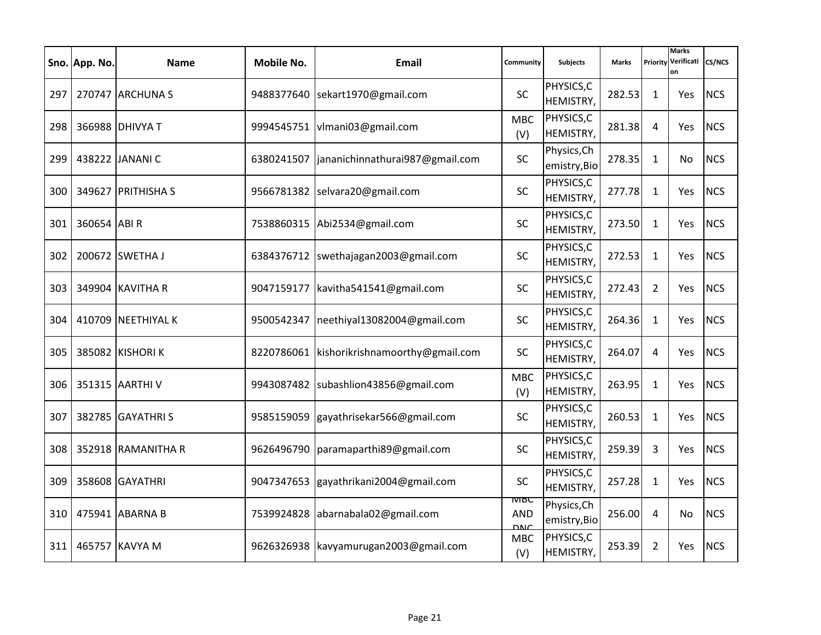|     | Sno. App. No. | <b>Name</b>        | Mobile No. | Email                                   | Community                                 | <b>Subjects</b>             | <b>Marks</b> | Priority       | <b>Marks</b><br>Verificati<br>on | <b>CS/NCS</b> |
|-----|---------------|--------------------|------------|-----------------------------------------|-------------------------------------------|-----------------------------|--------------|----------------|----------------------------------|---------------|
| 297 |               | 270747 ARCHUNA S   |            | 9488377640 sekart1970@gmail.com         | SC                                        | PHYSICS, C<br>HEMISTRY,     | 282.53       | 1              | <b>Yes</b>                       | <b>NCS</b>    |
| 298 |               | 366988 DHIVYA T    |            | 9994545751   vlmani03@gmail.com         | <b>MBC</b><br>(V)                         | PHYSICS, C<br>HEMISTRY,     | 281.38       | 4              | Yes                              | <b>NCS</b>    |
| 299 |               | 438222 JANANI C    | 6380241507 | jananichinnathurai987@gmail.com         | <b>SC</b>                                 | Physics, Ch<br>emistry, Bio | 278.35       | $\mathbf{1}$   | No                               | <b>NCS</b>    |
| 300 |               | 349627 PRITHISHA S |            | 9566781382 selvara20@gmail.com          | <b>SC</b>                                 | PHYSICS,C<br>HEMISTRY,      | 277.78       | $\mathbf{1}$   | Yes                              | <b>NCS</b>    |
| 301 | 360654 ABI R  |                    | 7538860315 | Abi2534@gmail.com                       | SC                                        | PHYSICS,C<br>HEMISTRY,      | 273.50       | $\mathbf{1}$   | Yes                              | <b>NCS</b>    |
| 302 |               | 200672 SWETHA J    |            | 6384376712   swethajagan 2003@gmail.com | <b>SC</b>                                 | PHYSICS, C<br>HEMISTRY,     | 272.53       | $\mathbf{1}$   | Yes                              | <b>NCS</b>    |
| 303 |               | 349904 KAVITHA R   | 9047159177 | kavitha541541@gmail.com                 | <b>SC</b>                                 | PHYSICS, C<br>HEMISTRY,     | 272.43       | $\overline{2}$ | Yes                              | <b>NCS</b>    |
| 304 |               | 410709 NEETHIYAL K | 9500542347 | neethiyal13082004@gmail.com             | <b>SC</b>                                 | PHYSICS, C<br>HEMISTRY,     | 264.36       | $\mathbf{1}$   | <b>Yes</b>                       | <b>NCS</b>    |
| 305 |               | 385082 KISHORI K   | 8220786061 | kishorikrishnamoorthy@gmail.com         | SC                                        | PHYSICS, C<br>HEMISTRY,     | 264.07       | 4              | Yes                              | <b>NCS</b>    |
| 306 |               | 351315 AARTHI V    | 9943087482 | subashlion43856@gmail.com               | <b>MBC</b><br>(V)                         | PHYSICS, C<br>HEMISTRY,     | 263.95       | 1              | <b>Yes</b>                       | <b>NCS</b>    |
| 307 |               | 382785 GAYATHRIS   | 9585159059 | gayathrisekar566@gmail.com              | <b>SC</b>                                 | PHYSICS, C<br>HEMISTRY,     | 260.53       | $\mathbf{1}$   | Yes                              | <b>NCS</b>    |
| 308 |               | 352918 RAMANITHA R | 9626496790 | paramaparthi89@gmail.com                | SC                                        | PHYSICS,C<br>HEMISTRY,      | 259.39       | 3              | Yes                              | <b>NCS</b>    |
| 309 |               | 358608 GAYATHRI    | 9047347653 | gayathrikani2004@gmail.com              | <b>SC</b>                                 | PHYSICS, C<br>HEMISTRY,     | 257.28       | $\mathbf{1}$   | <b>Yes</b>                       | <b>NCS</b>    |
| 310 |               | 475941 ABARNA B    | 7539924828 | abarnabala02@gmail.com                  | <b>IVIBC</b><br><b>AND</b><br><b>DNIC</b> | Physics, Ch<br>emistry, Bio | 256.00       | 4              | No.                              | <b>NCS</b>    |
| 311 |               | 465757 KAVYA M     |            | 9626326938 kavyamurugan2003@gmail.com   | <b>MBC</b><br>(V)                         | PHYSICS, C<br>HEMISTRY,     | 253.39       | $\overline{2}$ | <b>Yes</b>                       | <b>NCS</b>    |